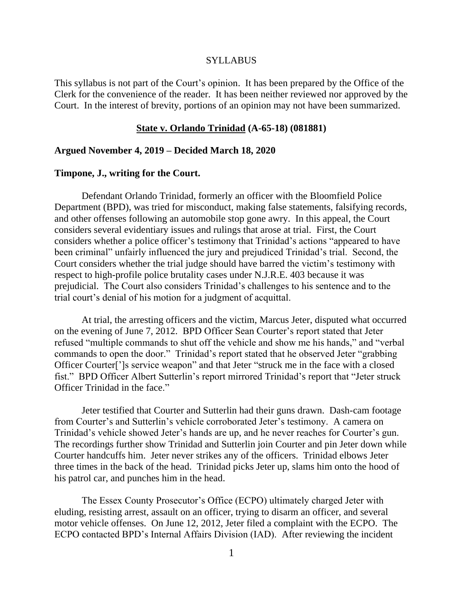#### SYLLABUS

This syllabus is not part of the Court's opinion. It has been prepared by the Office of the Clerk for the convenience of the reader. It has been neither reviewed nor approved by the Court. In the interest of brevity, portions of an opinion may not have been summarized.

#### **State v. Orlando Trinidad (A-65-18) (081881)**

#### **Argued November 4, 2019 – Decided March 18, 2020**

#### **Timpone, J., writing for the Court.**

Defendant Orlando Trinidad, formerly an officer with the Bloomfield Police Department (BPD), was tried for misconduct, making false statements, falsifying records, and other offenses following an automobile stop gone awry. In this appeal, the Court considers several evidentiary issues and rulings that arose at trial. First, the Court considers whether a police officer's testimony that Trinidad's actions "appeared to have been criminal" unfairly influenced the jury and prejudiced Trinidad's trial. Second, the Court considers whether the trial judge should have barred the victim's testimony with respect to high-profile police brutality cases under N.J.R.E. 403 because it was prejudicial. The Court also considers Trinidad's challenges to his sentence and to the trial court's denial of his motion for a judgment of acquittal.

At trial, the arresting officers and the victim, Marcus Jeter, disputed what occurred on the evening of June 7, 2012. BPD Officer Sean Courter's report stated that Jeter refused "multiple commands to shut off the vehicle and show me his hands," and "verbal commands to open the door." Trinidad's report stated that he observed Jeter "grabbing Officer Courter[']s service weapon" and that Jeter "struck me in the face with a closed fist." BPD Officer Albert Sutterlin's report mirrored Trinidad's report that "Jeter struck Officer Trinidad in the face."

Jeter testified that Courter and Sutterlin had their guns drawn. Dash-cam footage from Courter's and Sutterlin's vehicle corroborated Jeter's testimony. A camera on Trinidad's vehicle showed Jeter's hands are up, and he never reaches for Courter's gun. The recordings further show Trinidad and Sutterlin join Courter and pin Jeter down while Courter handcuffs him. Jeter never strikes any of the officers. Trinidad elbows Jeter three times in the back of the head. Trinidad picks Jeter up, slams him onto the hood of his patrol car, and punches him in the head.

The Essex County Prosecutor's Office (ECPO) ultimately charged Jeter with eluding, resisting arrest, assault on an officer, trying to disarm an officer, and several motor vehicle offenses. On June 12, 2012, Jeter filed a complaint with the ECPO. The ECPO contacted BPD's Internal Affairs Division (IAD). After reviewing the incident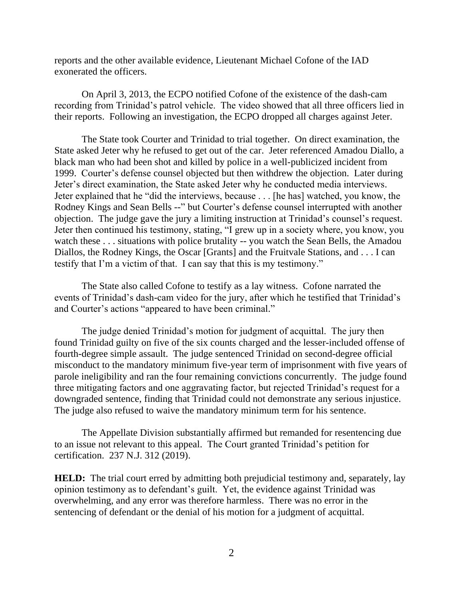reports and the other available evidence, Lieutenant Michael Cofone of the IAD exonerated the officers.

On April 3, 2013, the ECPO notified Cofone of the existence of the dash-cam recording from Trinidad's patrol vehicle. The video showed that all three officers lied in their reports. Following an investigation, the ECPO dropped all charges against Jeter.

The State took Courter and Trinidad to trial together. On direct examination, the State asked Jeter why he refused to get out of the car. Jeter referenced Amadou Diallo, a black man who had been shot and killed by police in a well-publicized incident from 1999. Courter's defense counsel objected but then withdrew the objection. Later during Jeter's direct examination, the State asked Jeter why he conducted media interviews. Jeter explained that he "did the interviews, because . . . [he has] watched, you know, the Rodney Kings and Sean Bells --" but Courter's defense counsel interrupted with another objection. The judge gave the jury a limiting instruction at Trinidad's counsel's request. Jeter then continued his testimony, stating, "I grew up in a society where, you know, you watch these . . . situations with police brutality -- you watch the Sean Bells, the Amadou Diallos, the Rodney Kings, the Oscar [Grants] and the Fruitvale Stations, and . . . I can testify that I'm a victim of that. I can say that this is my testimony."

The State also called Cofone to testify as a lay witness. Cofone narrated the events of Trinidad's dash-cam video for the jury, after which he testified that Trinidad's and Courter's actions "appeared to have been criminal."

The judge denied Trinidad's motion for judgment of acquittal. The jury then found Trinidad guilty on five of the six counts charged and the lesser-included offense of fourth-degree simple assault. The judge sentenced Trinidad on second-degree official misconduct to the mandatory minimum five-year term of imprisonment with five years of parole ineligibility and ran the four remaining convictions concurrently. The judge found three mitigating factors and one aggravating factor, but rejected Trinidad's request for a downgraded sentence, finding that Trinidad could not demonstrate any serious injustice. The judge also refused to waive the mandatory minimum term for his sentence.

The Appellate Division substantially affirmed but remanded for resentencing due to an issue not relevant to this appeal. The Court granted Trinidad's petition for certification. 237 N.J. 312 (2019).

**HELD:** The trial court erred by admitting both prejudicial testimony and, separately, lay opinion testimony as to defendant's guilt. Yet, the evidence against Trinidad was overwhelming, and any error was therefore harmless. There was no error in the sentencing of defendant or the denial of his motion for a judgment of acquittal.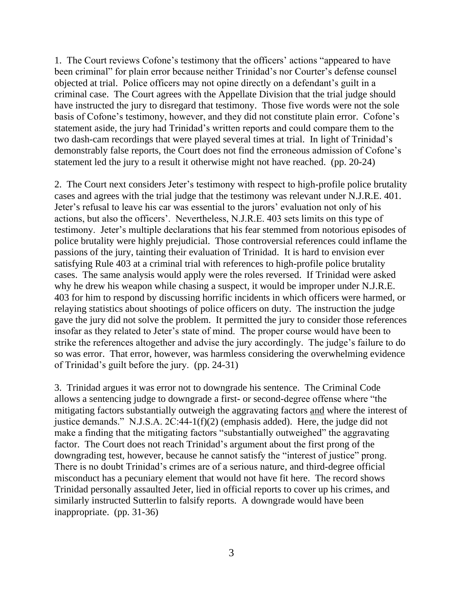1. The Court reviews Cofone's testimony that the officers' actions "appeared to have been criminal" for plain error because neither Trinidad's nor Courter's defense counsel objected at trial. Police officers may not opine directly on a defendant's guilt in a criminal case. The Court agrees with the Appellate Division that the trial judge should have instructed the jury to disregard that testimony. Those five words were not the sole basis of Cofone's testimony, however, and they did not constitute plain error. Cofone's statement aside, the jury had Trinidad's written reports and could compare them to the two dash-cam recordings that were played several times at trial. In light of Trinidad's demonstrably false reports, the Court does not find the erroneous admission of Cofone's statement led the jury to a result it otherwise might not have reached. (pp. 20-24)

2. The Court next considers Jeter's testimony with respect to high-profile police brutality cases and agrees with the trial judge that the testimony was relevant under N.J.R.E. 401. Jeter's refusal to leave his car was essential to the jurors' evaluation not only of his actions, but also the officers'. Nevertheless, N.J.R.E. 403 sets limits on this type of testimony. Jeter's multiple declarations that his fear stemmed from notorious episodes of police brutality were highly prejudicial. Those controversial references could inflame the passions of the jury, tainting their evaluation of Trinidad. It is hard to envision ever satisfying Rule 403 at a criminal trial with references to high-profile police brutality cases. The same analysis would apply were the roles reversed. If Trinidad were asked why he drew his weapon while chasing a suspect, it would be improper under N.J.R.E. 403 for him to respond by discussing horrific incidents in which officers were harmed, or relaying statistics about shootings of police officers on duty. The instruction the judge gave the jury did not solve the problem. It permitted the jury to consider those references insofar as they related to Jeter's state of mind. The proper course would have been to strike the references altogether and advise the jury accordingly. The judge's failure to do so was error. That error, however, was harmless considering the overwhelming evidence of Trinidad's guilt before the jury. (pp. 24-31)

3. Trinidad argues it was error not to downgrade his sentence. The Criminal Code allows a sentencing judge to downgrade a first- or second-degree offense where "the mitigating factors substantially outweigh the aggravating factors and where the interest of justice demands." N.J.S.A. 2C:44-1(f)(2) (emphasis added). Here, the judge did not make a finding that the mitigating factors "substantially outweighed" the aggravating factor. The Court does not reach Trinidad's argument about the first prong of the downgrading test, however, because he cannot satisfy the "interest of justice" prong. There is no doubt Trinidad's crimes are of a serious nature, and third-degree official misconduct has a pecuniary element that would not have fit here. The record shows Trinidad personally assaulted Jeter, lied in official reports to cover up his crimes, and similarly instructed Sutterlin to falsify reports. A downgrade would have been inappropriate. (pp. 31-36)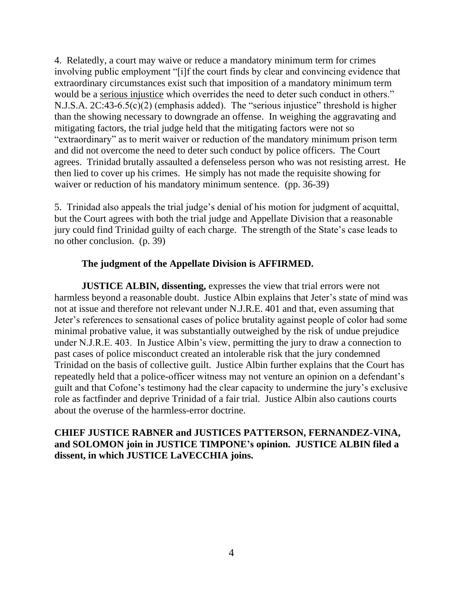4. Relatedly, a court may waive or reduce a mandatory minimum term for crimes involving public employment "[i]f the court finds by clear and convincing evidence that extraordinary circumstances exist such that imposition of a mandatory minimum term would be a serious injustice which overrides the need to deter such conduct in others." N.J.S.A. 2C:43-6.5(c)(2) (emphasis added). The "serious injustice" threshold is higher than the showing necessary to downgrade an offense. In weighing the aggravating and mitigating factors, the trial judge held that the mitigating factors were not so "extraordinary" as to merit waiver or reduction of the mandatory minimum prison term and did not overcome the need to deter such conduct by police officers. The Court agrees. Trinidad brutally assaulted a defenseless person who was not resisting arrest. He then lied to cover up his crimes. He simply has not made the requisite showing for waiver or reduction of his mandatory minimum sentence. (pp. 36-39)

5. Trinidad also appeals the trial judge's denial of his motion for judgment of acquittal, but the Court agrees with both the trial judge and Appellate Division that a reasonable jury could find Trinidad guilty of each charge. The strength of the State's case leads to no other conclusion. (p. 39)

## **The judgment of the Appellate Division is AFFIRMED.**

**JUSTICE ALBIN, dissenting,** expresses the view that trial errors were not harmless beyond a reasonable doubt. Justice Albin explains that Jeter's state of mind was not at issue and therefore not relevant under N.J.R.E. 401 and that, even assuming that Jeter's references to sensational cases of police brutality against people of color had some minimal probative value, it was substantially outweighed by the risk of undue prejudice under N.J.R.E. 403. In Justice Albin's view, permitting the jury to draw a connection to past cases of police misconduct created an intolerable risk that the jury condemned Trinidad on the basis of collective guilt. Justice Albin further explains that the Court has repeatedly held that a police-officer witness may not venture an opinion on a defendant's guilt and that Cofone's testimony had the clear capacity to undermine the jury's exclusive role as factfinder and deprive Trinidad of a fair trial.Justice Albin also cautions courts about the overuse of the harmless-error doctrine.

# **CHIEF JUSTICE RABNER and JUSTICES PATTERSON, FERNANDEZ-VINA, and SOLOMON join in JUSTICE TIMPONE's opinion. JUSTICE ALBIN filed a dissent, in which JUSTICE LaVECCHIA joins.**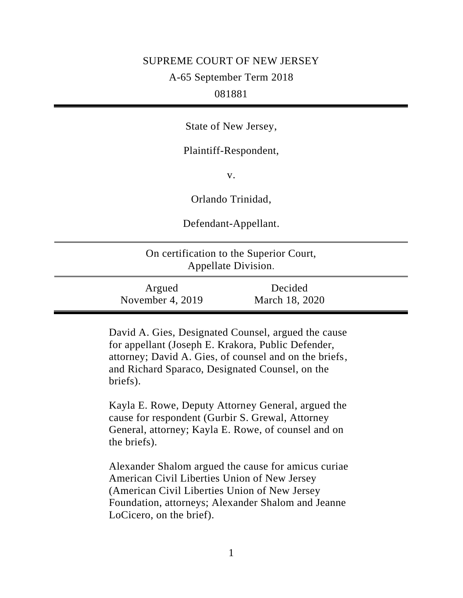### SUPREME COURT OF NEW JERSEY

A-65 September Term 2018

# 081881

State of New Jersey,

Plaintiff-Respondent,

v.

Orlando Trinidad,

Defendant-Appellant.

| On certification to the Superior Court, |
|-----------------------------------------|
| Appellate Division.                     |

| Argued             | Decided        |  |
|--------------------|----------------|--|
| November 4, $2019$ | March 18, 2020 |  |

David A. Gies, Designated Counsel, argued the cause for appellant (Joseph E. Krakora, Public Defender, attorney; David A. Gies, of counsel and on the briefs, and Richard Sparaco, Designated Counsel, on the briefs).

Kayla E. Rowe, Deputy Attorney General, argued the cause for respondent (Gurbir S. Grewal, Attorney General, attorney; Kayla E. Rowe, of counsel and on the briefs).

Alexander Shalom argued the cause for amicus curiae American Civil Liberties Union of New Jersey (American Civil Liberties Union of New Jersey Foundation, attorneys; Alexander Shalom and Jeanne LoCicero, on the brief).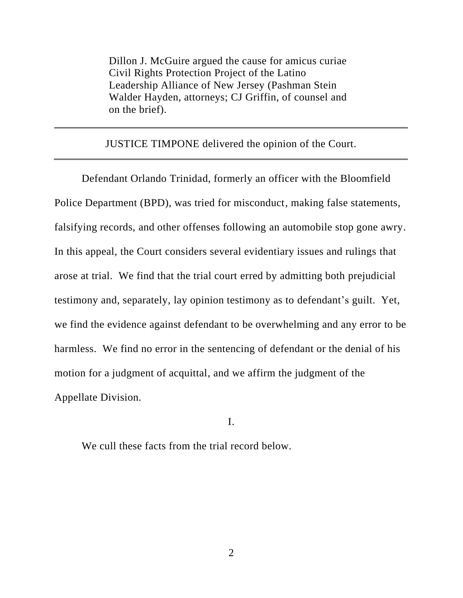Dillon J. McGuire argued the cause for amicus curiae Civil Rights Protection Project of the Latino Leadership Alliance of New Jersey (Pashman Stein Walder Hayden, attorneys; CJ Griffin, of counsel and on the brief).

JUSTICE TIMPONE delivered the opinion of the Court.

Defendant Orlando Trinidad, formerly an officer with the Bloomfield Police Department (BPD), was tried for misconduct, making false statements, falsifying records, and other offenses following an automobile stop gone awry. In this appeal, the Court considers several evidentiary issues and rulings that arose at trial. We find that the trial court erred by admitting both prejudicial testimony and, separately, lay opinion testimony as to defendant's guilt. Yet, we find the evidence against defendant to be overwhelming and any error to be harmless. We find no error in the sentencing of defendant or the denial of his motion for a judgment of acquittal, and we affirm the judgment of the Appellate Division.

I.

We cull these facts from the trial record below.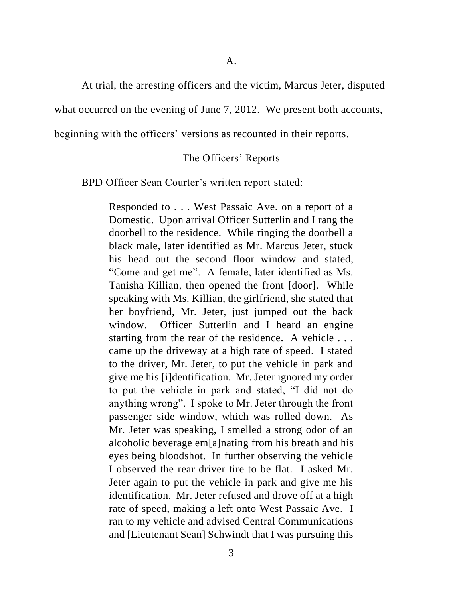At trial, the arresting officers and the victim, Marcus Jeter, disputed

what occurred on the evening of June 7, 2012. We present both accounts,

beginning with the officers' versions as recounted in their reports.

## The Officers' Reports

BPD Officer Sean Courter's written report stated:

Responded to . . . West Passaic Ave. on a report of a Domestic. Upon arrival Officer Sutterlin and I rang the doorbell to the residence. While ringing the doorbell a black male, later identified as Mr. Marcus Jeter, stuck his head out the second floor window and stated, "Come and get me". A female, later identified as Ms. Tanisha Killian, then opened the front [door]. While speaking with Ms. Killian, the girlfriend, she stated that her boyfriend, Mr. Jeter, just jumped out the back window. Officer Sutterlin and I heard an engine starting from the rear of the residence. A vehicle . . . came up the driveway at a high rate of speed. I stated to the driver, Mr. Jeter, to put the vehicle in park and give me his [i]dentification. Mr. Jeter ignored my order to put the vehicle in park and stated, "I did not do anything wrong". I spoke to Mr. Jeter through the front passenger side window, which was rolled down. As Mr. Jeter was speaking, I smelled a strong odor of an alcoholic beverage em[a]nating from his breath and his eyes being bloodshot. In further observing the vehicle I observed the rear driver tire to be flat. I asked Mr. Jeter again to put the vehicle in park and give me his identification. Mr. Jeter refused and drove off at a high rate of speed, making a left onto West Passaic Ave. I ran to my vehicle and advised Central Communications and [Lieutenant Sean] Schwindt that I was pursuing this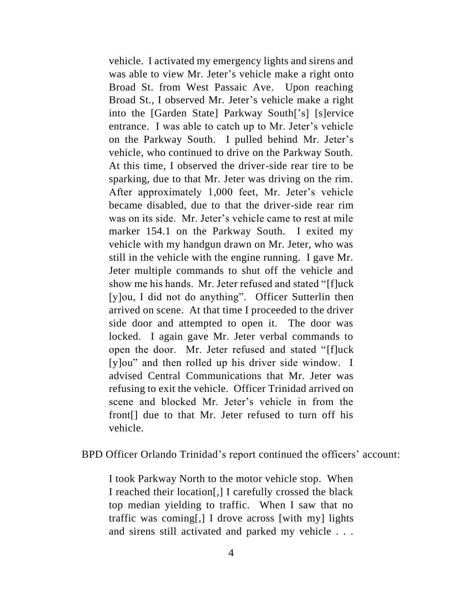vehicle. I activated my emergency lights and sirens and was able to view Mr. Jeter's vehicle make a right onto Broad St. from West Passaic Ave. Upon reaching Broad St., I observed Mr. Jeter's vehicle make a right into the [Garden State] Parkway South['s] [s]ervice entrance. I was able to catch up to Mr. Jeter's vehicle on the Parkway South. I pulled behind Mr. Jeter's vehicle, who continued to drive on the Parkway South. At this time, I observed the driver-side rear tire to be sparking, due to that Mr. Jeter was driving on the rim. After approximately 1,000 feet, Mr. Jeter's vehicle became disabled, due to that the driver-side rear rim was on its side. Mr. Jeter's vehicle came to rest at mile marker 154.1 on the Parkway South. I exited my vehicle with my handgun drawn on Mr. Jeter, who was still in the vehicle with the engine running. I gave Mr. Jeter multiple commands to shut off the vehicle and show me his hands. Mr. Jeter refused and stated "[f]uck [y]ou, I did not do anything". Officer Sutterlin then arrived on scene. At that time I proceeded to the driver side door and attempted to open it. The door was locked. I again gave Mr. Jeter verbal commands to open the door. Mr. Jeter refused and stated "[f]uck [y]ou" and then rolled up his driver side window. I advised Central Communications that Mr. Jeter was refusing to exit the vehicle. Officer Trinidad arrived on scene and blocked Mr. Jeter's vehicle in from the front[] due to that Mr. Jeter refused to turn off his vehicle.

BPD Officer Orlando Trinidad's report continued the officers' account:

I took Parkway North to the motor vehicle stop. When I reached their location[,] I carefully crossed the black top median yielding to traffic. When I saw that no traffic was coming[,] I drove across [with my] lights and sirens still activated and parked my vehicle . . .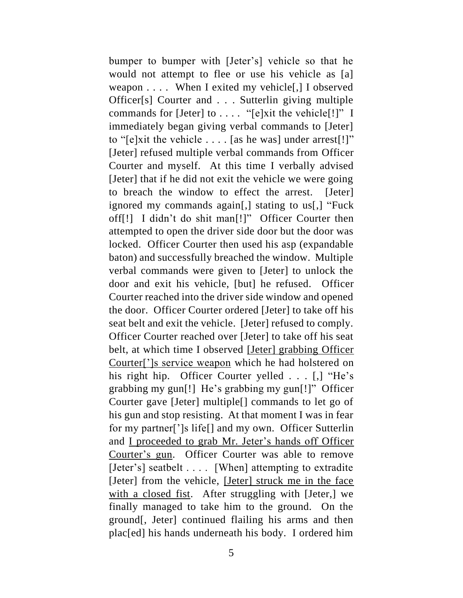bumper to bumper with [Jeter's] vehicle so that he would not attempt to flee or use his vehicle as [a] weapon . . . . When I exited my vehicle[,] I observed Officer[s] Courter and . . . Sutterlin giving multiple commands for [Jeter] to . . . . "[e]xit the vehicle[!]" I immediately began giving verbal commands to [Jeter] to "[e]xit the vehicle . . . . [as he was] under arrest[!]" [Jeter] refused multiple verbal commands from Officer Courter and myself. At this time I verbally advised [Jeter] that if he did not exit the vehicle we were going to breach the window to effect the arrest. [Jeter] ignored my commands again[,] stating to us[,] "Fuck off[!] I didn't do shit man[!]" Officer Courter then attempted to open the driver side door but the door was locked. Officer Courter then used his asp (expandable baton) and successfully breached the window. Multiple verbal commands were given to [Jeter] to unlock the door and exit his vehicle, [but] he refused. Officer Courter reached into the driver side window and opened the door. Officer Courter ordered [Jeter] to take off his seat belt and exit the vehicle. [Jeter] refused to comply. Officer Courter reached over [Jeter] to take off his seat belt, at which time I observed [Jeter] grabbing Officer Courter[']s service weapon which he had holstered on his right hip. Officer Courter yelled . . . [,] "He's grabbing my gun[!] He's grabbing my gun[!]" Officer Courter gave [Jeter] multiple[] commands to let go of his gun and stop resisting. At that moment I was in fear for my partner[']s life[] and my own. Officer Sutterlin and I proceeded to grab Mr. Jeter's hands off Officer Courter's gun. Officer Courter was able to remove [Jeter's] seatbelt . . . . [When] attempting to extradite [Jeter] from the vehicle, [Jeter] struck me in the face with a closed fist. After struggling with [Jeter,] we finally managed to take him to the ground. On the ground[, Jeter] continued flailing his arms and then plac[ed] his hands underneath his body. I ordered him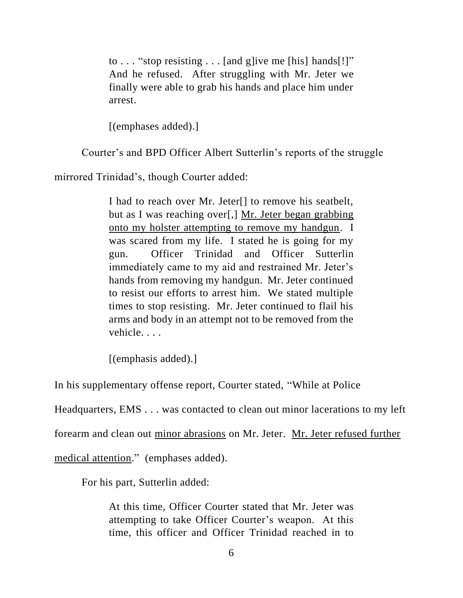to . . . "stop resisting . . . [and g]ive me [his] hands[!]" And he refused. After struggling with Mr. Jeter we finally were able to grab his hands and place him under arrest.

[(emphases added).]

Courter's and BPD Officer Albert Sutterlin's reports of the struggle

mirrored Trinidad's, though Courter added:

I had to reach over Mr. Jeter[] to remove his seatbelt, but as I was reaching over[,] Mr. Jeter began grabbing onto my holster attempting to remove my handgun. I was scared from my life. I stated he is going for my gun. Officer Trinidad and Officer Sutterlin immediately came to my aid and restrained Mr. Jeter's hands from removing my handgun. Mr. Jeter continued to resist our efforts to arrest him. We stated multiple times to stop resisting. Mr. Jeter continued to flail his arms and body in an attempt not to be removed from the vehicle. . . .

[(emphasis added).]

In his supplementary offense report, Courter stated, "While at Police

Headquarters, EMS . . . was contacted to clean out minor lacerations to my left

forearm and clean out minor abrasions on Mr. Jeter. Mr. Jeter refused further

medical attention." (emphases added).

For his part, Sutterlin added:

At this time, Officer Courter stated that Mr. Jeter was attempting to take Officer Courter's weapon. At this time, this officer and Officer Trinidad reached in to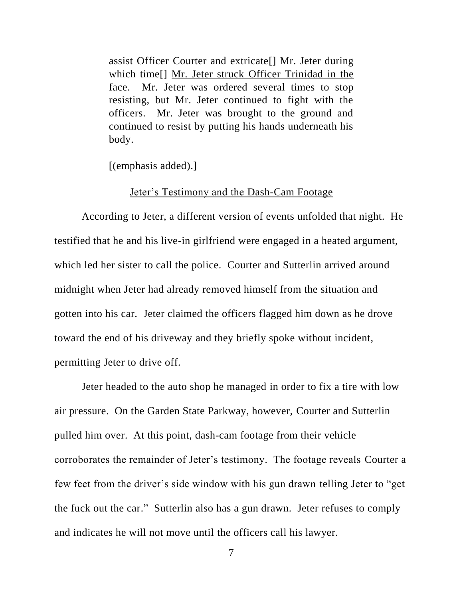assist Officer Courter and extricate[] Mr. Jeter during which time[] Mr. Jeter struck Officer Trinidad in the face. Mr. Jeter was ordered several times to stop resisting, but Mr. Jeter continued to fight with the officers. Mr. Jeter was brought to the ground and continued to resist by putting his hands underneath his body.

[(emphasis added).]

## Jeter's Testimony and the Dash-Cam Footage

According to Jeter, a different version of events unfolded that night. He testified that he and his live-in girlfriend were engaged in a heated argument, which led her sister to call the police. Courter and Sutterlin arrived around midnight when Jeter had already removed himself from the situation and gotten into his car. Jeter claimed the officers flagged him down as he drove toward the end of his driveway and they briefly spoke without incident, permitting Jeter to drive off.

Jeter headed to the auto shop he managed in order to fix a tire with low air pressure. On the Garden State Parkway, however, Courter and Sutterlin pulled him over. At this point, dash-cam footage from their vehicle corroborates the remainder of Jeter's testimony. The footage reveals Courter a few feet from the driver's side window with his gun drawn telling Jeter to "get the fuck out the car." Sutterlin also has a gun drawn. Jeter refuses to comply and indicates he will not move until the officers call his lawyer.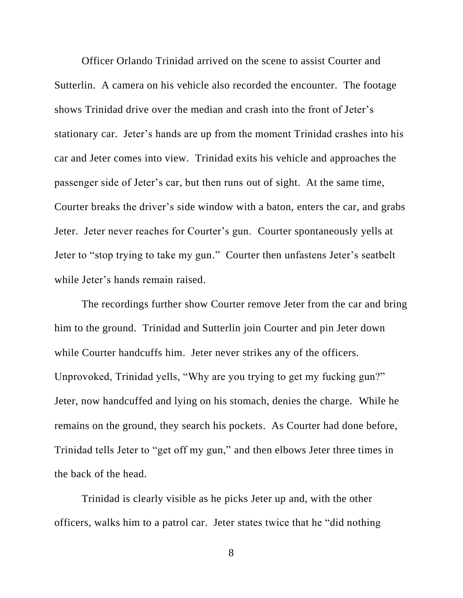Officer Orlando Trinidad arrived on the scene to assist Courter and Sutterlin. A camera on his vehicle also recorded the encounter. The footage shows Trinidad drive over the median and crash into the front of Jeter's stationary car. Jeter's hands are up from the moment Trinidad crashes into his car and Jeter comes into view. Trinidad exits his vehicle and approaches the passenger side of Jeter's car, but then runs out of sight. At the same time, Courter breaks the driver's side window with a baton, enters the car, and grabs Jeter. Jeter never reaches for Courter's gun. Courter spontaneously yells at Jeter to "stop trying to take my gun." Courter then unfastens Jeter's seatbelt while Jeter's hands remain raised.

The recordings further show Courter remove Jeter from the car and bring him to the ground. Trinidad and Sutterlin join Courter and pin Jeter down while Courter handcuffs him. Jeter never strikes any of the officers. Unprovoked, Trinidad yells, "Why are you trying to get my fucking gun?" Jeter, now handcuffed and lying on his stomach, denies the charge. While he remains on the ground, they search his pockets. As Courter had done before, Trinidad tells Jeter to "get off my gun," and then elbows Jeter three times in the back of the head.

Trinidad is clearly visible as he picks Jeter up and, with the other officers, walks him to a patrol car. Jeter states twice that he "did nothing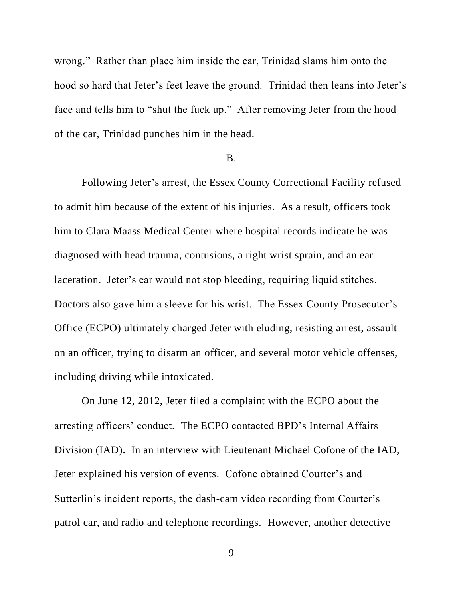wrong." Rather than place him inside the car, Trinidad slams him onto the hood so hard that Jeter's feet leave the ground. Trinidad then leans into Jeter's face and tells him to "shut the fuck up." After removing Jeter from the hood of the car, Trinidad punches him in the head.

### B.

Following Jeter's arrest, the Essex County Correctional Facility refused to admit him because of the extent of his injuries. As a result, officers took him to Clara Maass Medical Center where hospital records indicate he was diagnosed with head trauma, contusions, a right wrist sprain, and an ear laceration. Jeter's ear would not stop bleeding, requiring liquid stitches. Doctors also gave him a sleeve for his wrist. The Essex County Prosecutor's Office (ECPO) ultimately charged Jeter with eluding, resisting arrest, assault on an officer, trying to disarm an officer, and several motor vehicle offenses, including driving while intoxicated.

On June 12, 2012, Jeter filed a complaint with the ECPO about the arresting officers' conduct. The ECPO contacted BPD's Internal Affairs Division (IAD). In an interview with Lieutenant Michael Cofone of the IAD, Jeter explained his version of events. Cofone obtained Courter's and Sutterlin's incident reports, the dash-cam video recording from Courter's patrol car, and radio and telephone recordings. However, another detective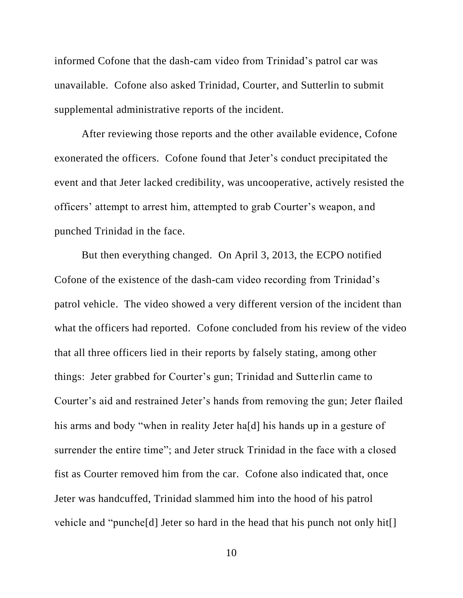informed Cofone that the dash-cam video from Trinidad's patrol car was unavailable. Cofone also asked Trinidad, Courter, and Sutterlin to submit supplemental administrative reports of the incident.

After reviewing those reports and the other available evidence, Cofone exonerated the officers. Cofone found that Jeter's conduct precipitated the event and that Jeter lacked credibility, was uncooperative, actively resisted the officers' attempt to arrest him, attempted to grab Courter's weapon, and punched Trinidad in the face.

But then everything changed. On April 3, 2013, the ECPO notified Cofone of the existence of the dash-cam video recording from Trinidad's patrol vehicle. The video showed a very different version of the incident than what the officers had reported. Cofone concluded from his review of the video that all three officers lied in their reports by falsely stating, among other things: Jeter grabbed for Courter's gun; Trinidad and Sutterlin came to Courter's aid and restrained Jeter's hands from removing the gun; Jeter flailed his arms and body "when in reality Jeter has all his hands up in a gesture of surrender the entire time"; and Jeter struck Trinidad in the face with a closed fist as Courter removed him from the car. Cofone also indicated that, once Jeter was handcuffed, Trinidad slammed him into the hood of his patrol vehicle and "punche[d] Jeter so hard in the head that his punch not only hit[]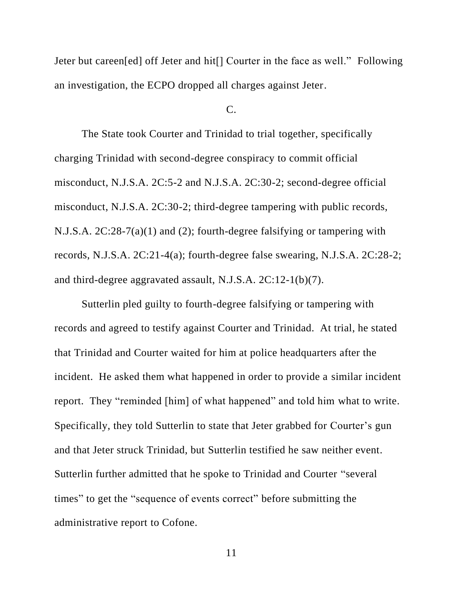Jeter but careen[ed] off Jeter and hit[] Courter in the face as well." Following an investigation, the ECPO dropped all charges against Jeter.

### $C_{\cdot}$

The State took Courter and Trinidad to trial together, specifically charging Trinidad with second-degree conspiracy to commit official misconduct, N.J.S.A. 2C:5-2 and N.J.S.A. 2C:30-2; second-degree official misconduct, N.J.S.A. 2C:30-2; third-degree tampering with public records, N.J.S.A. 2C:28-7(a)(1) and (2); fourth-degree falsifying or tampering with records, N.J.S.A. 2C:21-4(a); fourth-degree false swearing, N.J.S.A. 2C:28-2; and third-degree aggravated assault, N.J.S.A. 2C:12-1(b)(7).

Sutterlin pled guilty to fourth-degree falsifying or tampering with records and agreed to testify against Courter and Trinidad. At trial, he stated that Trinidad and Courter waited for him at police headquarters after the incident. He asked them what happened in order to provide a similar incident report. They "reminded [him] of what happened" and told him what to write. Specifically, they told Sutterlin to state that Jeter grabbed for Courter's gun and that Jeter struck Trinidad, but Sutterlin testified he saw neither event. Sutterlin further admitted that he spoke to Trinidad and Courter "several times" to get the "sequence of events correct" before submitting the administrative report to Cofone.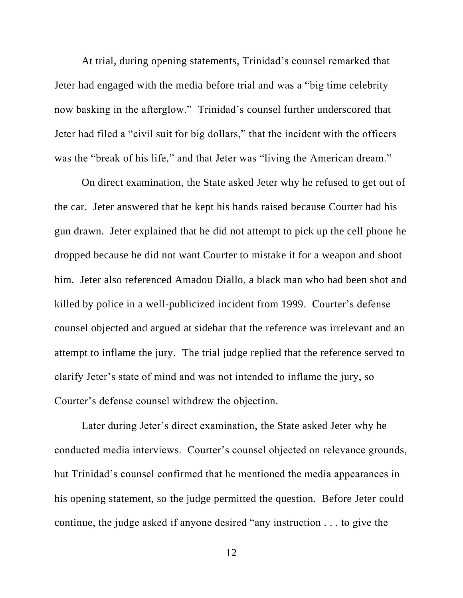At trial, during opening statements, Trinidad's counsel remarked that Jeter had engaged with the media before trial and was a "big time celebrity now basking in the afterglow." Trinidad's counsel further underscored that Jeter had filed a "civil suit for big dollars," that the incident with the officers was the "break of his life," and that Jeter was "living the American dream."

On direct examination, the State asked Jeter why he refused to get out of the car. Jeter answered that he kept his hands raised because Courter had his gun drawn. Jeter explained that he did not attempt to pick up the cell phone he dropped because he did not want Courter to mistake it for a weapon and shoot him. Jeter also referenced Amadou Diallo, a black man who had been shot and killed by police in a well-publicized incident from 1999. Courter's defense counsel objected and argued at sidebar that the reference was irrelevant and an attempt to inflame the jury. The trial judge replied that the reference served to clarify Jeter's state of mind and was not intended to inflame the jury, so Courter's defense counsel withdrew the objection.

Later during Jeter's direct examination, the State asked Jeter why he conducted media interviews. Courter's counsel objected on relevance grounds, but Trinidad's counsel confirmed that he mentioned the media appearances in his opening statement, so the judge permitted the question. Before Jeter could continue, the judge asked if anyone desired "any instruction . . . to give the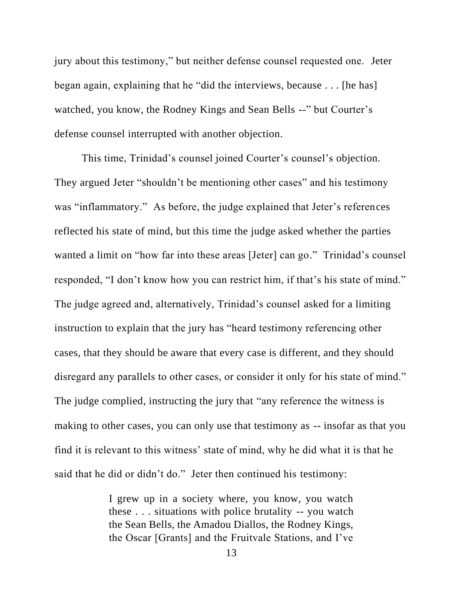jury about this testimony," but neither defense counsel requested one. Jeter began again, explaining that he "did the interviews, because . . . [he has] watched, you know, the Rodney Kings and Sean Bells --" but Courter's defense counsel interrupted with another objection.

This time, Trinidad's counsel joined Courter's counsel's objection. They argued Jeter "shouldn't be mentioning other cases" and his testimony was "inflammatory." As before, the judge explained that Jeter's references reflected his state of mind, but this time the judge asked whether the parties wanted a limit on "how far into these areas [Jeter] can go." Trinidad's counsel responded, "I don't know how you can restrict him, if that's his state of mind." The judge agreed and, alternatively, Trinidad's counsel asked for a limiting instruction to explain that the jury has "heard testimony referencing other cases, that they should be aware that every case is different, and they should disregard any parallels to other cases, or consider it only for his state of mind." The judge complied, instructing the jury that "any reference the witness is making to other cases, you can only use that testimony as -- insofar as that you find it is relevant to this witness' state of mind, why he did what it is that he said that he did or didn't do." Jeter then continued his testimony:

> I grew up in a society where, you know, you watch these . . . situations with police brutality -- you watch the Sean Bells, the Amadou Diallos, the Rodney Kings, the Oscar [Grants] and the Fruitvale Stations, and I've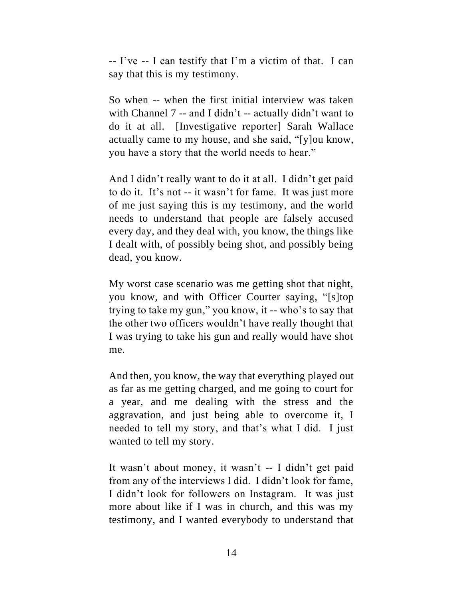-- I've -- I can testify that I'm a victim of that. I can say that this is my testimony.

So when -- when the first initial interview was taken with Channel 7 -- and I didn't -- actually didn't want to do it at all. [Investigative reporter] Sarah Wallace actually came to my house, and she said, "[y]ou know, you have a story that the world needs to hear."

And I didn't really want to do it at all. I didn't get paid to do it. It's not -- it wasn't for fame. It was just more of me just saying this is my testimony, and the world needs to understand that people are falsely accused every day, and they deal with, you know, the things like I dealt with, of possibly being shot, and possibly being dead, you know.

My worst case scenario was me getting shot that night, you know, and with Officer Courter saying, "[s]top trying to take my gun," you know, it -- who's to say that the other two officers wouldn't have really thought that I was trying to take his gun and really would have shot me.

And then, you know, the way that everything played out as far as me getting charged, and me going to court for a year, and me dealing with the stress and the aggravation, and just being able to overcome it, I needed to tell my story, and that's what I did. I just wanted to tell my story.

It wasn't about money, it wasn't -- I didn't get paid from any of the interviews I did. I didn't look for fame, I didn't look for followers on Instagram. It was just more about like if I was in church, and this was my testimony, and I wanted everybody to understand that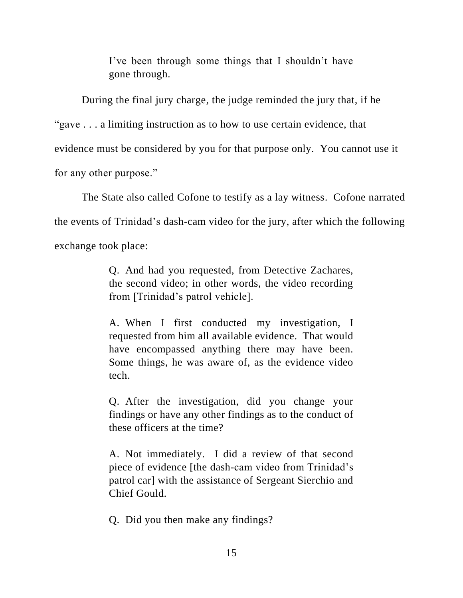I've been through some things that I shouldn't have gone through.

During the final jury charge, the judge reminded the jury that, if he "gave . . . a limiting instruction as to how to use certain evidence, that evidence must be considered by you for that purpose only. You cannot use it for any other purpose."

The State also called Cofone to testify as a lay witness. Cofone narrated the events of Trinidad's dash-cam video for the jury, after which the following exchange took place:

> Q. And had you requested, from Detective Zachares, the second video; in other words, the video recording from [Trinidad's patrol vehicle].

> A. When I first conducted my investigation, I requested from him all available evidence. That would have encompassed anything there may have been. Some things, he was aware of, as the evidence video tech.

> Q. After the investigation, did you change your findings or have any other findings as to the conduct of these officers at the time?

> A. Not immediately. I did a review of that second piece of evidence [the dash-cam video from Trinidad's patrol car] with the assistance of Sergeant Sierchio and Chief Gould.

Q. Did you then make any findings?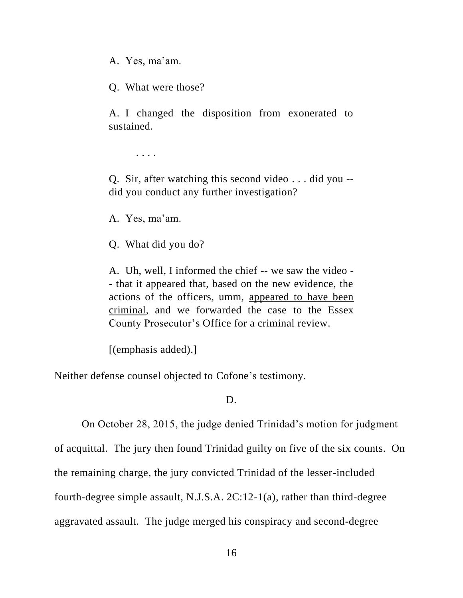A. Yes, ma'am.

Q. What were those?

A. I changed the disposition from exonerated to sustained.

. . . .

Q. Sir, after watching this second video . . . did you - did you conduct any further investigation?

A. Yes, ma'am.

Q. What did you do?

A. Uh, well, I informed the chief -- we saw the video - - that it appeared that, based on the new evidence, the actions of the officers, umm, appeared to have been criminal, and we forwarded the case to the Essex County Prosecutor's Office for a criminal review.

[(emphasis added).]

Neither defense counsel objected to Cofone's testimony.

## D.

On October 28, 2015, the judge denied Trinidad's motion for judgment of acquittal. The jury then found Trinidad guilty on five of the six counts. On the remaining charge, the jury convicted Trinidad of the lesser-included fourth-degree simple assault, N.J.S.A. 2C:12-1(a), rather than third-degree aggravated assault. The judge merged his conspiracy and second-degree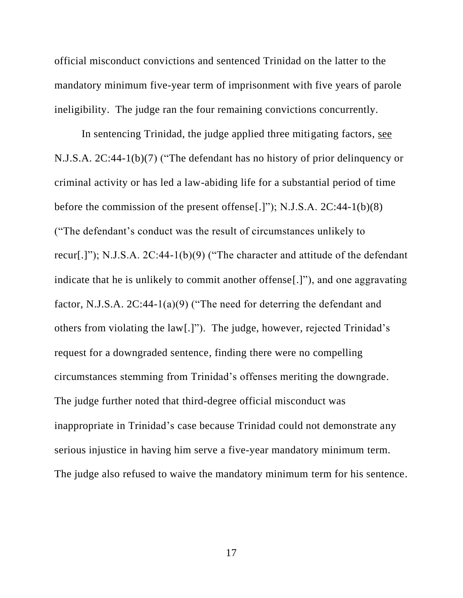official misconduct convictions and sentenced Trinidad on the latter to the mandatory minimum five-year term of imprisonment with five years of parole ineligibility. The judge ran the four remaining convictions concurrently.

In sentencing Trinidad, the judge applied three mitigating factors, see N.J.S.A. 2C:44-1(b)(7) ("The defendant has no history of prior delinquency or criminal activity or has led a law-abiding life for a substantial period of time before the commission of the present offense[.]"); N.J.S.A. 2C:44-1(b)(8) ("The defendant's conduct was the result of circumstances unlikely to recur[.]"); N.J.S.A. 2C:44-1(b)(9) ("The character and attitude of the defendant indicate that he is unlikely to commit another offense[.]"), and one aggravating factor, N.J.S.A. 2C:44-1(a)(9) ("The need for deterring the defendant and others from violating the law[.]"). The judge, however, rejected Trinidad's request for a downgraded sentence, finding there were no compelling circumstances stemming from Trinidad's offenses meriting the downgrade. The judge further noted that third-degree official misconduct was inappropriate in Trinidad's case because Trinidad could not demonstrate any serious injustice in having him serve a five-year mandatory minimum term. The judge also refused to waive the mandatory minimum term for his sentence.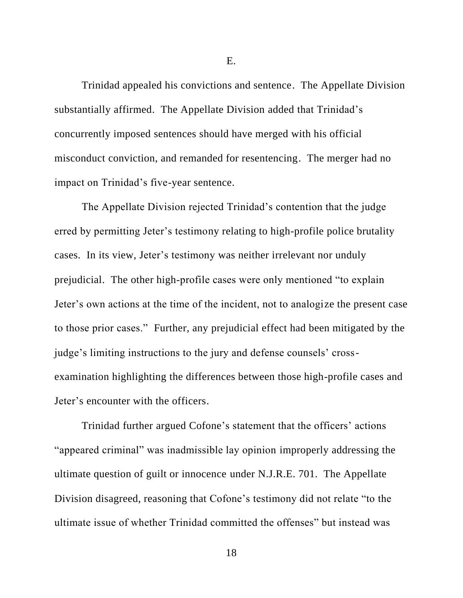E.

Trinidad appealed his convictions and sentence. The Appellate Division substantially affirmed. The Appellate Division added that Trinidad's concurrently imposed sentences should have merged with his official misconduct conviction, and remanded for resentencing. The merger had no impact on Trinidad's five-year sentence.

The Appellate Division rejected Trinidad's contention that the judge erred by permitting Jeter's testimony relating to high-profile police brutality cases. In its view, Jeter's testimony was neither irrelevant nor unduly prejudicial. The other high-profile cases were only mentioned "to explain Jeter's own actions at the time of the incident, not to analogize the present case to those prior cases." Further, any prejudicial effect had been mitigated by the judge's limiting instructions to the jury and defense counsels' crossexamination highlighting the differences between those high-profile cases and Jeter's encounter with the officers.

Trinidad further argued Cofone's statement that the officers' actions "appeared criminal" was inadmissible lay opinion improperly addressing the ultimate question of guilt or innocence under N.J.R.E. 701. The Appellate Division disagreed, reasoning that Cofone's testimony did not relate "to the ultimate issue of whether Trinidad committed the offenses" but instead was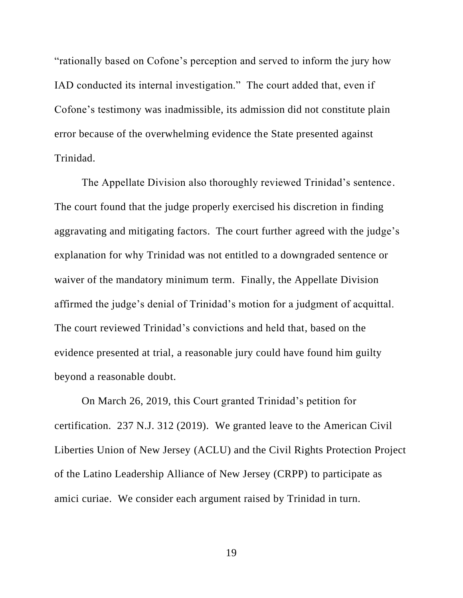"rationally based on Cofone's perception and served to inform the jury how IAD conducted its internal investigation." The court added that, even if Cofone's testimony was inadmissible, its admission did not constitute plain error because of the overwhelming evidence the State presented against Trinidad.

The Appellate Division also thoroughly reviewed Trinidad's sentence. The court found that the judge properly exercised his discretion in finding aggravating and mitigating factors. The court further agreed with the judge's explanation for why Trinidad was not entitled to a downgraded sentence or waiver of the mandatory minimum term. Finally, the Appellate Division affirmed the judge's denial of Trinidad's motion for a judgment of acquittal. The court reviewed Trinidad's convictions and held that, based on the evidence presented at trial, a reasonable jury could have found him guilty beyond a reasonable doubt.

On March 26, 2019, this Court granted Trinidad's petition for certification. 237 N.J. 312 (2019). We granted leave to the American Civil Liberties Union of New Jersey (ACLU) and the Civil Rights Protection Project of the Latino Leadership Alliance of New Jersey (CRPP) to participate as amici curiae. We consider each argument raised by Trinidad in turn.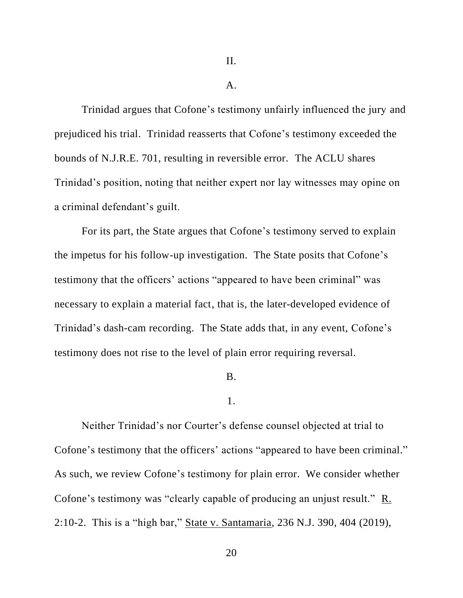#### $A<sub>1</sub>$

Trinidad argues that Cofone's testimony unfairly influenced the jury and prejudiced his trial. Trinidad reasserts that Cofone's testimony exceeded the bounds of N.J.R.E. 701, resulting in reversible error. The ACLU shares Trinidad's position, noting that neither expert nor lay witnesses may opine on a criminal defendant's guilt.

For its part, the State argues that Cofone's testimony served to explain the impetus for his follow-up investigation. The State posits that Cofone's testimony that the officers' actions "appeared to have been criminal" was necessary to explain a material fact, that is, the later-developed evidence of Trinidad's dash-cam recording. The State adds that, in any event, Cofone's testimony does not rise to the level of plain error requiring reversal.

### B.

### 1.

Neither Trinidad's nor Courter's defense counsel objected at trial to Cofone's testimony that the officers' actions "appeared to have been criminal." As such, we review Cofone's testimony for plain error. We consider whether Cofone's testimony was "clearly capable of producing an unjust result." R. 2:10-2. This is a "high bar," State v. Santamaria, 236 N.J. 390, 404 (2019),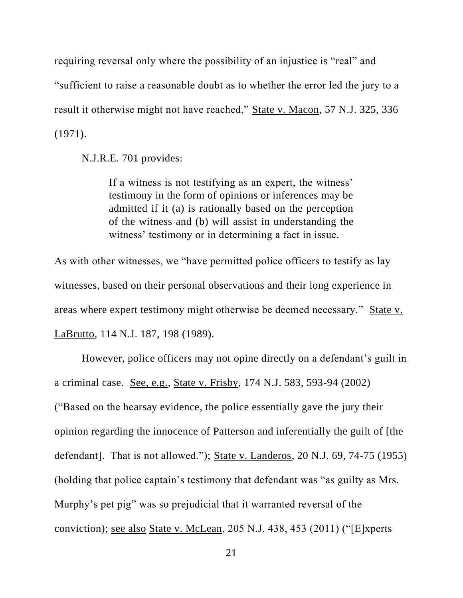requiring reversal only where the possibility of an injustice is "real" and "sufficient to raise a reasonable doubt as to whether the error led the jury to a result it otherwise might not have reached," State v. Macon, 57 N.J. 325, 336 (1971).

N.J.R.E. 701 provides:

If a witness is not testifying as an expert, the witness' testimony in the form of opinions or inferences may be admitted if it (a) is rationally based on the perception of the witness and (b) will assist in understanding the witness' testimony or in determining a fact in issue.

As with other witnesses, we "have permitted police officers to testify as lay witnesses, based on their personal observations and their long experience in areas where expert testimony might otherwise be deemed necessary." State v. LaBrutto, 114 N.J. 187, 198 (1989).

However, police officers may not opine directly on a defendant's guilt in a criminal case. See, e.g., State v. Frisby, 174 N.J. 583, 593-94 (2002) ("Based on the hearsay evidence, the police essentially gave the jury their opinion regarding the innocence of Patterson and inferentially the guilt of [the defendant]. That is not allowed."); State v. Landeros, 20 N.J. 69, 74-75 (1955) (holding that police captain's testimony that defendant was "as guilty as Mrs. Murphy's pet pig" was so prejudicial that it warranted reversal of the conviction); see also State v. McLean, 205 N.J. 438, 453 (2011) ("[E]xperts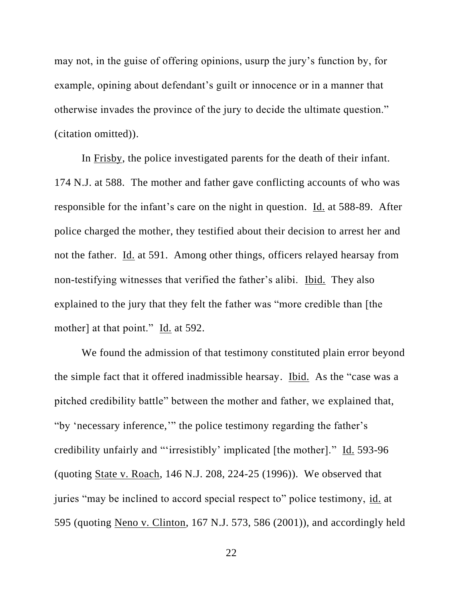may not, in the guise of offering opinions, usurp the jury's function by, for example, opining about defendant's guilt or innocence or in a manner that otherwise invades the province of the jury to decide the ultimate question." (citation omitted)).

In Frisby, the police investigated parents for the death of their infant. 174 N.J. at 588. The mother and father gave conflicting accounts of who was responsible for the infant's care on the night in question. Id. at 588-89. After police charged the mother, they testified about their decision to arrest her and not the father. Id. at 591. Among other things, officers relayed hearsay from non-testifying witnesses that verified the father's alibi. Ibid. They also explained to the jury that they felt the father was "more credible than [the mother] at that point." Id. at 592.

We found the admission of that testimony constituted plain error beyond the simple fact that it offered inadmissible hearsay. Ibid. As the "case was a pitched credibility battle" between the mother and father, we explained that, "by 'necessary inference,'" the police testimony regarding the father's credibility unfairly and "'irresistibly' implicated [the mother]." Id. 593-96 (quoting State v. Roach, 146 N.J. 208, 224-25 (1996)). We observed that juries "may be inclined to accord special respect to" police testimony, id. at 595 (quoting Neno v. Clinton, 167 N.J. 573, 586 (2001)), and accordingly held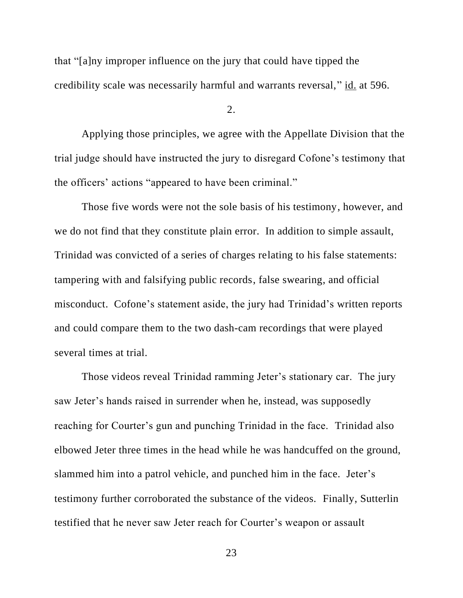that "[a]ny improper influence on the jury that could have tipped the credibility scale was necessarily harmful and warrants reversal," id. at 596.

 $2^{2}$ 

Applying those principles, we agree with the Appellate Division that the trial judge should have instructed the jury to disregard Cofone's testimony that the officers' actions "appeared to have been criminal."

Those five words were not the sole basis of his testimony, however, and we do not find that they constitute plain error. In addition to simple assault, Trinidad was convicted of a series of charges relating to his false statements: tampering with and falsifying public records, false swearing, and official misconduct. Cofone's statement aside, the jury had Trinidad's written reports and could compare them to the two dash-cam recordings that were played several times at trial.

Those videos reveal Trinidad ramming Jeter's stationary car. The jury saw Jeter's hands raised in surrender when he, instead, was supposedly reaching for Courter's gun and punching Trinidad in the face. Trinidad also elbowed Jeter three times in the head while he was handcuffed on the ground, slammed him into a patrol vehicle, and punched him in the face. Jeter's testimony further corroborated the substance of the videos. Finally, Sutterlin testified that he never saw Jeter reach for Courter's weapon or assault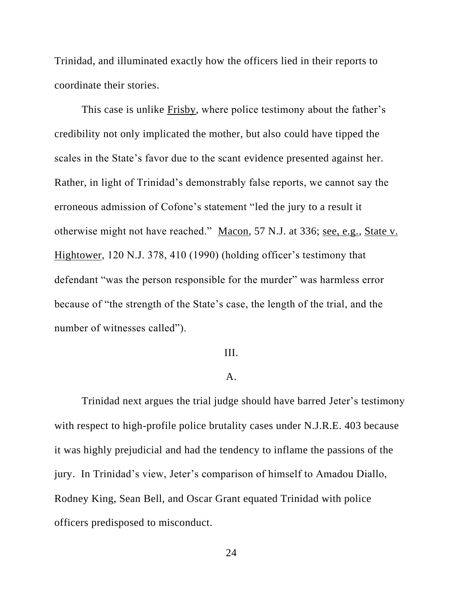Trinidad, and illuminated exactly how the officers lied in their reports to coordinate their stories.

This case is unlike Frisby, where police testimony about the father's credibility not only implicated the mother, but also could have tipped the scales in the State's favor due to the scant evidence presented against her. Rather, in light of Trinidad's demonstrably false reports, we cannot say the erroneous admission of Cofone's statement "led the jury to a result it otherwise might not have reached." Macon, 57 N.J. at 336; see, e.g., State v. Hightower, 120 N.J. 378, 410 (1990) (holding officer's testimony that defendant "was the person responsible for the murder" was harmless error because of "the strength of the State's case, the length of the trial, and the number of witnesses called").

### III.

## A.

Trinidad next argues the trial judge should have barred Jeter's testimony with respect to high-profile police brutality cases under N.J.R.E. 403 because it was highly prejudicial and had the tendency to inflame the passions of the jury. In Trinidad's view, Jeter's comparison of himself to Amadou Diallo, Rodney King, Sean Bell, and Oscar Grant equated Trinidad with police officers predisposed to misconduct.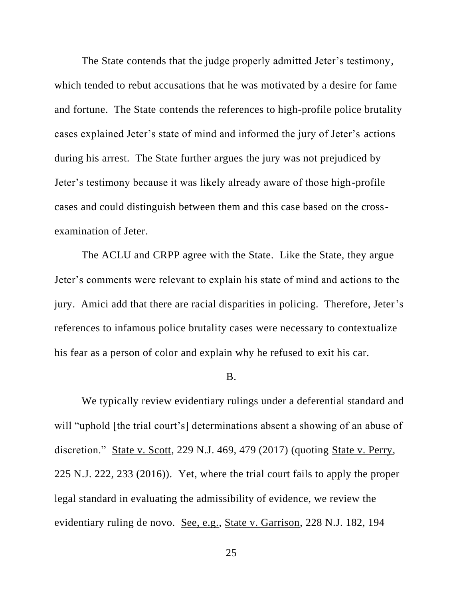The State contends that the judge properly admitted Jeter's testimony, which tended to rebut accusations that he was motivated by a desire for fame and fortune. The State contends the references to high-profile police brutality cases explained Jeter's state of mind and informed the jury of Jeter's actions during his arrest. The State further argues the jury was not prejudiced by Jeter's testimony because it was likely already aware of those high-profile cases and could distinguish between them and this case based on the crossexamination of Jeter.

The ACLU and CRPP agree with the State. Like the State, they argue Jeter's comments were relevant to explain his state of mind and actions to the jury. Amici add that there are racial disparities in policing. Therefore, Jeter's references to infamous police brutality cases were necessary to contextualize his fear as a person of color and explain why he refused to exit his car.

#### B.

We typically review evidentiary rulings under a deferential standard and will "uphold [the trial court's] determinations absent a showing of an abuse of discretion." State v. Scott, 229 N.J. 469, 479 (2017) (quoting State v. Perry, 225 N.J. 222, 233 (2016)). Yet, where the trial court fails to apply the proper legal standard in evaluating the admissibility of evidence, we review the evidentiary ruling de novo. See, e.g., State v. Garrison, 228 N.J. 182, 194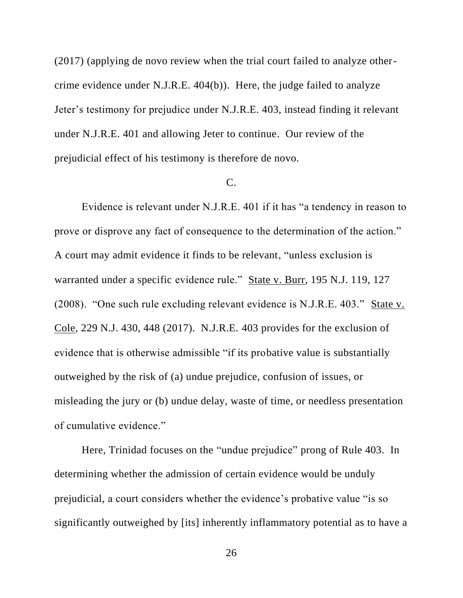(2017) (applying de novo review when the trial court failed to analyze othercrime evidence under N.J.R.E. 404(b)). Here, the judge failed to analyze Jeter's testimony for prejudice under N.J.R.E. 403, instead finding it relevant under N.J.R.E. 401 and allowing Jeter to continue. Our review of the prejudicial effect of his testimony is therefore de novo.

## C.

Evidence is relevant under N.J.R.E. 401 if it has "a tendency in reason to prove or disprove any fact of consequence to the determination of the action." A court may admit evidence it finds to be relevant, "unless exclusion is warranted under a specific evidence rule." State v. Burr, 195 N.J. 119, 127 (2008). "One such rule excluding relevant evidence is N.J.R.E. 403." State v. Cole, 229 N.J. 430, 448 (2017). N.J.R.E. 403 provides for the exclusion of evidence that is otherwise admissible "if its probative value is substantially outweighed by the risk of (a) undue prejudice, confusion of issues, or misleading the jury or (b) undue delay, waste of time, or needless presentation of cumulative evidence."

Here, Trinidad focuses on the "undue prejudice" prong of Rule 403. In determining whether the admission of certain evidence would be unduly prejudicial, a court considers whether the evidence's probative value "is so significantly outweighed by [its] inherently inflammatory potential as to have a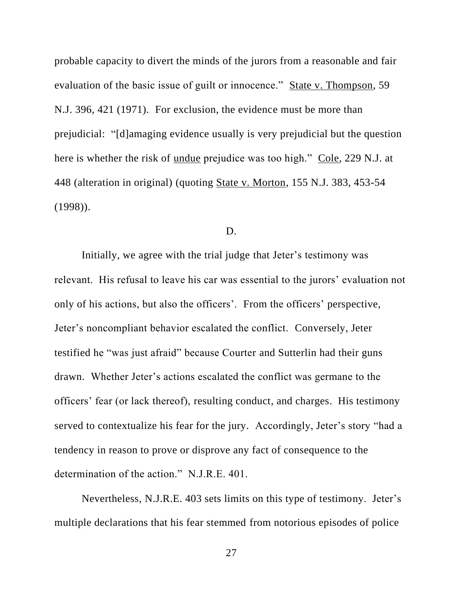probable capacity to divert the minds of the jurors from a reasonable and fair evaluation of the basic issue of guilt or innocence." State v. Thompson, 59 N.J. 396, 421 (1971). For exclusion, the evidence must be more than prejudicial: "[d]amaging evidence usually is very prejudicial but the question here is whether the risk of undue prejudice was too high." Cole, 229 N.J. at 448 (alteration in original) (quoting State v. Morton, 155 N.J. 383, 453-54 (1998)).

#### D.

Initially, we agree with the trial judge that Jeter's testimony was relevant. His refusal to leave his car was essential to the jurors' evaluation not only of his actions, but also the officers'. From the officers' perspective, Jeter's noncompliant behavior escalated the conflict. Conversely, Jeter testified he "was just afraid" because Courter and Sutterlin had their guns drawn. Whether Jeter's actions escalated the conflict was germane to the officers' fear (or lack thereof), resulting conduct, and charges. His testimony served to contextualize his fear for the jury. Accordingly, Jeter's story "had a tendency in reason to prove or disprove any fact of consequence to the determination of the action." N.J.R.E. 401.

Nevertheless, N.J.R.E. 403 sets limits on this type of testimony. Jeter's multiple declarations that his fear stemmed from notorious episodes of police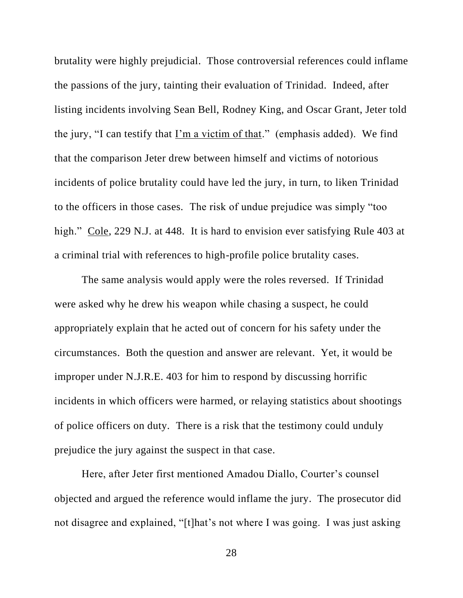brutality were highly prejudicial. Those controversial references could inflame the passions of the jury, tainting their evaluation of Trinidad. Indeed, after listing incidents involving Sean Bell, Rodney King, and Oscar Grant, Jeter told the jury, "I can testify that I'm a victim of that." (emphasis added). We find that the comparison Jeter drew between himself and victims of notorious incidents of police brutality could have led the jury, in turn, to liken Trinidad to the officers in those cases. The risk of undue prejudice was simply "too high." Cole, 229 N.J. at 448. It is hard to envision ever satisfying Rule 403 at a criminal trial with references to high-profile police brutality cases.

The same analysis would apply were the roles reversed. If Trinidad were asked why he drew his weapon while chasing a suspect, he could appropriately explain that he acted out of concern for his safety under the circumstances. Both the question and answer are relevant. Yet, it would be improper under N.J.R.E. 403 for him to respond by discussing horrific incidents in which officers were harmed, or relaying statistics about shootings of police officers on duty. There is a risk that the testimony could unduly prejudice the jury against the suspect in that case.

Here, after Jeter first mentioned Amadou Diallo, Courter's counsel objected and argued the reference would inflame the jury. The prosecutor did not disagree and explained, "[t]hat's not where I was going. I was just asking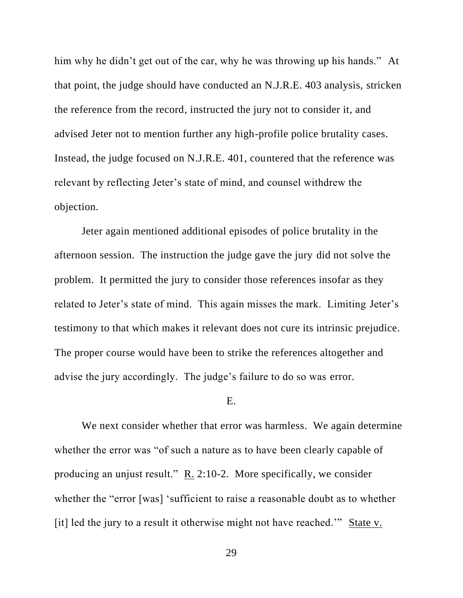him why he didn't get out of the car, why he was throwing up his hands." At that point, the judge should have conducted an N.J.R.E. 403 analysis, stricken the reference from the record, instructed the jury not to consider it, and advised Jeter not to mention further any high-profile police brutality cases. Instead, the judge focused on N.J.R.E. 401, countered that the reference was relevant by reflecting Jeter's state of mind, and counsel withdrew the objection.

Jeter again mentioned additional episodes of police brutality in the afternoon session. The instruction the judge gave the jury did not solve the problem. It permitted the jury to consider those references insofar as they related to Jeter's state of mind. This again misses the mark. Limiting Jeter's testimony to that which makes it relevant does not cure its intrinsic prejudice. The proper course would have been to strike the references altogether and advise the jury accordingly. The judge's failure to do so was error.

#### E.

We next consider whether that error was harmless. We again determine whether the error was "of such a nature as to have been clearly capable of producing an unjust result." R. 2:10-2. More specifically, we consider whether the "error [was] 'sufficient to raise a reasonable doubt as to whether [it] led the jury to a result it otherwise might not have reached." State v.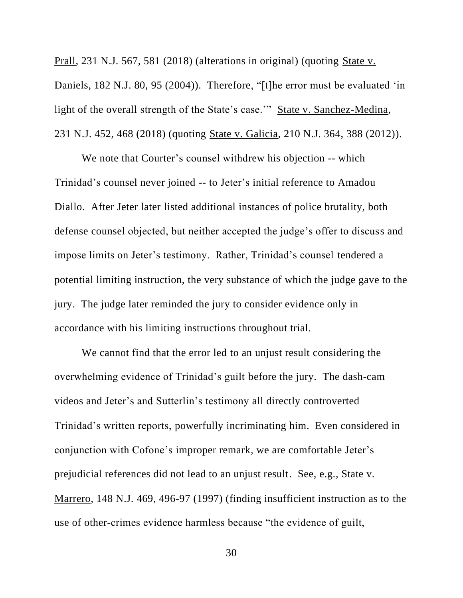Prall, 231 N.J. 567, 581 (2018) (alterations in original) (quoting State v. Daniels, 182 N.J. 80, 95 (2004)). Therefore, "[t]he error must be evaluated 'in light of the overall strength of the State's case.'" State v. Sanchez-Medina, 231 N.J. 452, 468 (2018) (quoting State v. Galicia, 210 N.J. 364, 388 (2012)).

We note that Courter's counsel withdrew his objection -- which Trinidad's counsel never joined -- to Jeter's initial reference to Amadou Diallo. After Jeter later listed additional instances of police brutality, both defense counsel objected, but neither accepted the judge's offer to discuss and impose limits on Jeter's testimony. Rather, Trinidad's counsel tendered a potential limiting instruction, the very substance of which the judge gave to the jury. The judge later reminded the jury to consider evidence only in accordance with his limiting instructions throughout trial.

We cannot find that the error led to an unjust result considering the overwhelming evidence of Trinidad's guilt before the jury. The dash-cam videos and Jeter's and Sutterlin's testimony all directly controverted Trinidad's written reports, powerfully incriminating him. Even considered in conjunction with Cofone's improper remark, we are comfortable Jeter's prejudicial references did not lead to an unjust result. See, e.g., State v. Marrero, 148 N.J. 469, 496-97 (1997) (finding insufficient instruction as to the use of other-crimes evidence harmless because "the evidence of guilt,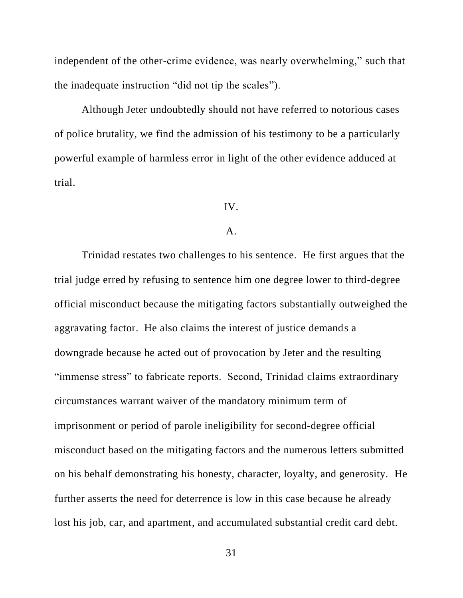independent of the other-crime evidence, was nearly overwhelming," such that the inadequate instruction "did not tip the scales").

Although Jeter undoubtedly should not have referred to notorious cases of police brutality, we find the admission of his testimony to be a particularly powerful example of harmless error in light of the other evidence adduced at trial.

## IV.

#### A.

Trinidad restates two challenges to his sentence. He first argues that the trial judge erred by refusing to sentence him one degree lower to third-degree official misconduct because the mitigating factors substantially outweighed the aggravating factor. He also claims the interest of justice demands a downgrade because he acted out of provocation by Jeter and the resulting "immense stress" to fabricate reports. Second, Trinidad claims extraordinary circumstances warrant waiver of the mandatory minimum term of imprisonment or period of parole ineligibility for second-degree official misconduct based on the mitigating factors and the numerous letters submitted on his behalf demonstrating his honesty, character, loyalty, and generosity. He further asserts the need for deterrence is low in this case because he already lost his job, car, and apartment, and accumulated substantial credit card debt.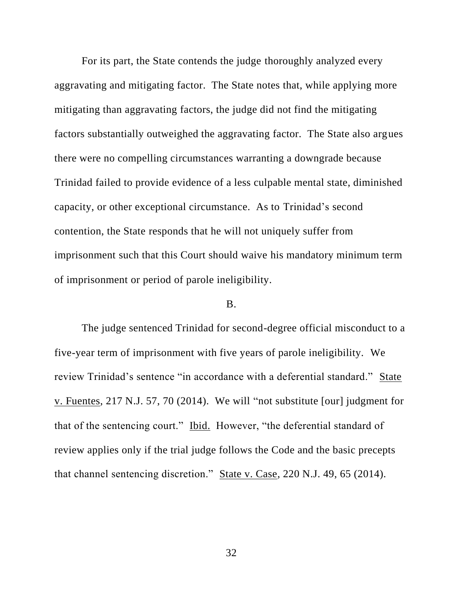For its part, the State contends the judge thoroughly analyzed every aggravating and mitigating factor. The State notes that, while applying more mitigating than aggravating factors, the judge did not find the mitigating factors substantially outweighed the aggravating factor. The State also argues there were no compelling circumstances warranting a downgrade because Trinidad failed to provide evidence of a less culpable mental state, diminished capacity, or other exceptional circumstance. As to Trinidad's second contention, the State responds that he will not uniquely suffer from imprisonment such that this Court should waive his mandatory minimum term of imprisonment or period of parole ineligibility.

## B.

The judge sentenced Trinidad for second-degree official misconduct to a five-year term of imprisonment with five years of parole ineligibility. We review Trinidad's sentence "in accordance with a deferential standard." State v. Fuentes, 217 N.J. 57, 70 (2014). We will "not substitute [our] judgment for that of the sentencing court." Ibid. However, "the deferential standard of review applies only if the trial judge follows the Code and the basic precepts that channel sentencing discretion." State v. Case, 220 N.J. 49, 65 (2014).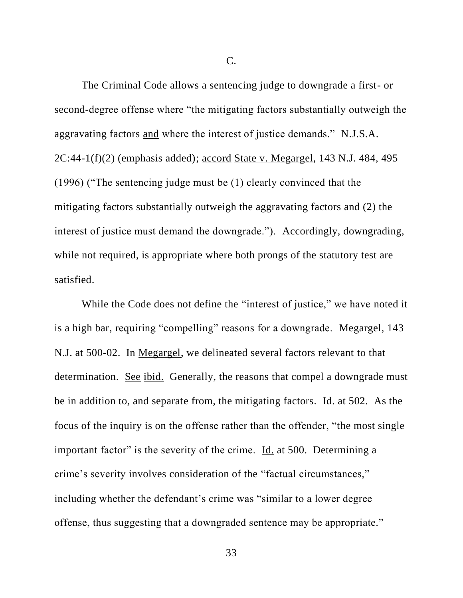C.

The Criminal Code allows a sentencing judge to downgrade a first- or second-degree offense where "the mitigating factors substantially outweigh the aggravating factors and where the interest of justice demands." N.J.S.A.  $2C:44-1(f)(2)$  (emphasis added); accord State v. Megargel, 143 N.J. 484, 495 (1996) ("The sentencing judge must be (1) clearly convinced that the mitigating factors substantially outweigh the aggravating factors and (2) the interest of justice must demand the downgrade."). Accordingly, downgrading, while not required, is appropriate where both prongs of the statutory test are satisfied.

While the Code does not define the "interest of justice," we have noted it is a high bar, requiring "compelling" reasons for a downgrade. Megargel, 143 N.J. at 500-02. In Megargel, we delineated several factors relevant to that determination. See ibid. Generally, the reasons that compel a downgrade must be in addition to, and separate from, the mitigating factors. Id. at 502. As the focus of the inquiry is on the offense rather than the offender, "the most single important factor" is the severity of the crime. Id. at 500. Determining a crime's severity involves consideration of the "factual circumstances," including whether the defendant's crime was "similar to a lower degree offense, thus suggesting that a downgraded sentence may be appropriate."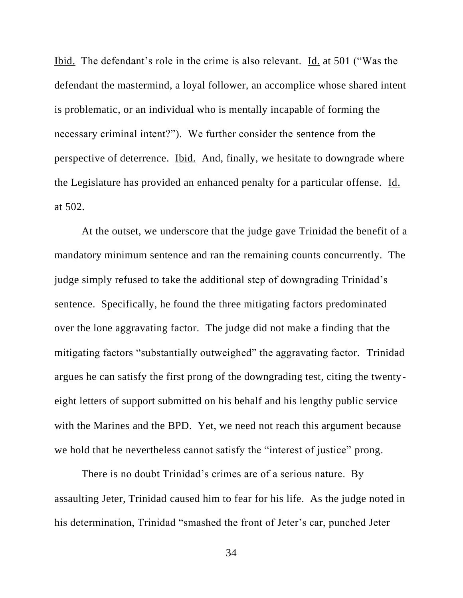Ibid. The defendant's role in the crime is also relevant. Id. at 501 ("Was the defendant the mastermind, a loyal follower, an accomplice whose shared intent is problematic, or an individual who is mentally incapable of forming the necessary criminal intent?"). We further consider the sentence from the perspective of deterrence. Ibid. And, finally, we hesitate to downgrade where the Legislature has provided an enhanced penalty for a particular offense. Id. at 502.

At the outset, we underscore that the judge gave Trinidad the benefit of a mandatory minimum sentence and ran the remaining counts concurrently. The judge simply refused to take the additional step of downgrading Trinidad's sentence. Specifically, he found the three mitigating factors predominated over the lone aggravating factor. The judge did not make a finding that the mitigating factors "substantially outweighed" the aggravating factor. Trinidad argues he can satisfy the first prong of the downgrading test, citing the twentyeight letters of support submitted on his behalf and his lengthy public service with the Marines and the BPD. Yet, we need not reach this argument because we hold that he nevertheless cannot satisfy the "interest of justice" prong.

There is no doubt Trinidad's crimes are of a serious nature. By assaulting Jeter, Trinidad caused him to fear for his life. As the judge noted in his determination, Trinidad "smashed the front of Jeter's car, punched Jeter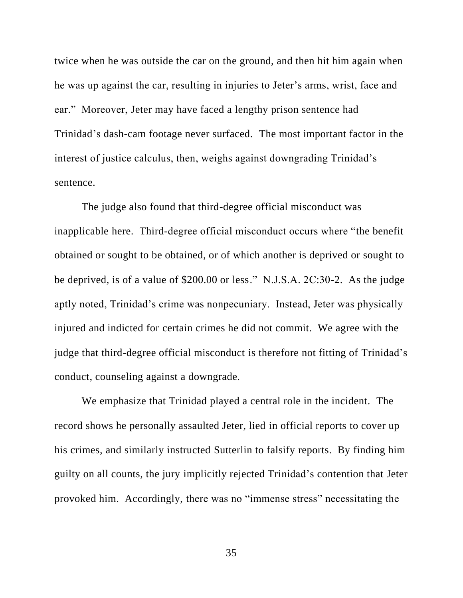twice when he was outside the car on the ground, and then hit him again when he was up against the car, resulting in injuries to Jeter's arms, wrist, face and ear." Moreover, Jeter may have faced a lengthy prison sentence had Trinidad's dash-cam footage never surfaced. The most important factor in the interest of justice calculus, then, weighs against downgrading Trinidad's sentence.

The judge also found that third-degree official misconduct was inapplicable here. Third-degree official misconduct occurs where "the benefit obtained or sought to be obtained, or of which another is deprived or sought to be deprived, is of a value of \$200.00 or less." N.J.S.A. 2C:30-2. As the judge aptly noted, Trinidad's crime was nonpecuniary. Instead, Jeter was physically injured and indicted for certain crimes he did not commit. We agree with the judge that third-degree official misconduct is therefore not fitting of Trinidad's conduct, counseling against a downgrade.

We emphasize that Trinidad played a central role in the incident. The record shows he personally assaulted Jeter, lied in official reports to cover up his crimes, and similarly instructed Sutterlin to falsify reports. By finding him guilty on all counts, the jury implicitly rejected Trinidad's contention that Jeter provoked him. Accordingly, there was no "immense stress" necessitating the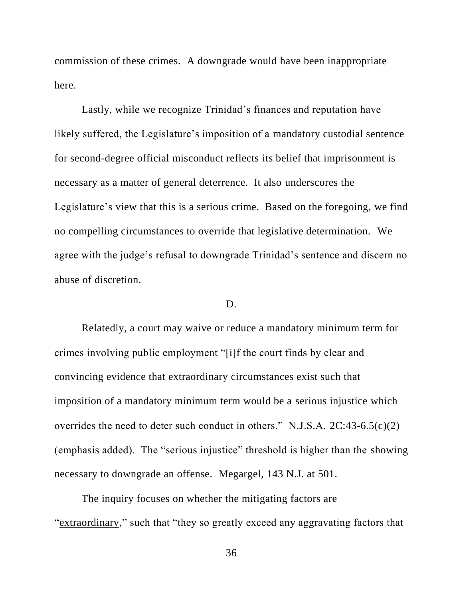commission of these crimes. A downgrade would have been inappropriate here.

Lastly, while we recognize Trinidad's finances and reputation have likely suffered, the Legislature's imposition of a mandatory custodial sentence for second-degree official misconduct reflects its belief that imprisonment is necessary as a matter of general deterrence. It also underscores the Legislature's view that this is a serious crime. Based on the foregoing, we find no compelling circumstances to override that legislative determination. We agree with the judge's refusal to downgrade Trinidad's sentence and discern no abuse of discretion.

## D.

Relatedly, a court may waive or reduce a mandatory minimum term for crimes involving public employment "[i]f the court finds by clear and convincing evidence that extraordinary circumstances exist such that imposition of a mandatory minimum term would be a serious injustice which overrides the need to deter such conduct in others." N.J.S.A.  $2C:43-6.5(c)(2)$ (emphasis added). The "serious injustice" threshold is higher than the showing necessary to downgrade an offense. Megargel, 143 N.J. at 501.

The inquiry focuses on whether the mitigating factors are "extraordinary," such that "they so greatly exceed any aggravating factors that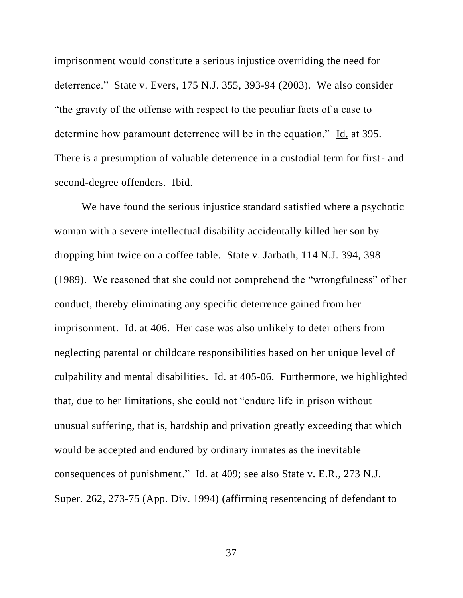imprisonment would constitute a serious injustice overriding the need for deterrence." State v. Evers, 175 N.J. 355, 393-94 (2003). We also consider "the gravity of the offense with respect to the peculiar facts of a case to determine how paramount deterrence will be in the equation." Id. at 395. There is a presumption of valuable deterrence in a custodial term for first- and second-degree offenders. Ibid.

We have found the serious injustice standard satisfied where a psychotic woman with a severe intellectual disability accidentally killed her son by dropping him twice on a coffee table. State v. Jarbath, 114 N.J. 394, 398 (1989). We reasoned that she could not comprehend the "wrongfulness" of her conduct, thereby eliminating any specific deterrence gained from her imprisonment. Id. at 406. Her case was also unlikely to deter others from neglecting parental or childcare responsibilities based on her unique level of culpability and mental disabilities. Id. at 405-06. Furthermore, we highlighted that, due to her limitations, she could not "endure life in prison without unusual suffering, that is, hardship and privation greatly exceeding that which would be accepted and endured by ordinary inmates as the inevitable consequences of punishment." Id. at 409; see also State v. E.R., 273 N.J. Super. 262, 273-75 (App. Div. 1994) (affirming resentencing of defendant to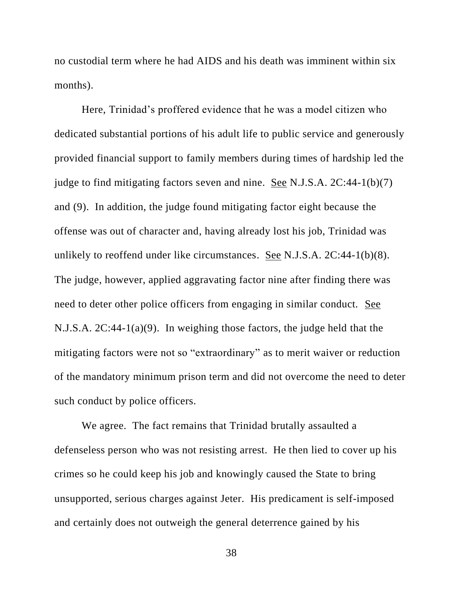no custodial term where he had AIDS and his death was imminent within six months).

Here, Trinidad's proffered evidence that he was a model citizen who dedicated substantial portions of his adult life to public service and generously provided financial support to family members during times of hardship led the judge to find mitigating factors seven and nine. See N.J.S.A. 2C:44-1(b)(7) and (9). In addition, the judge found mitigating factor eight because the offense was out of character and, having already lost his job, Trinidad was unlikely to reoffend under like circumstances. See N.J.S.A. 2C:44-1(b)(8). The judge, however, applied aggravating factor nine after finding there was need to deter other police officers from engaging in similar conduct. See N.J.S.A. 2C:44-1(a)(9). In weighing those factors, the judge held that the mitigating factors were not so "extraordinary" as to merit waiver or reduction of the mandatory minimum prison term and did not overcome the need to deter such conduct by police officers.

We agree. The fact remains that Trinidad brutally assaulted a defenseless person who was not resisting arrest. He then lied to cover up his crimes so he could keep his job and knowingly caused the State to bring unsupported, serious charges against Jeter. His predicament is self-imposed and certainly does not outweigh the general deterrence gained by his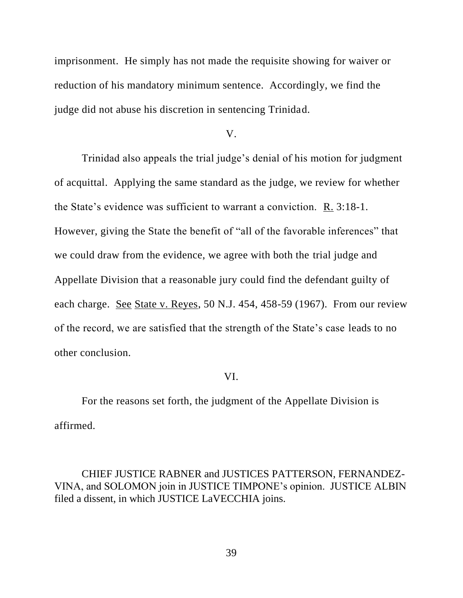imprisonment. He simply has not made the requisite showing for waiver or reduction of his mandatory minimum sentence. Accordingly, we find the judge did not abuse his discretion in sentencing Trinidad.

V.

Trinidad also appeals the trial judge's denial of his motion for judgment of acquittal. Applying the same standard as the judge, we review for whether the State's evidence was sufficient to warrant a conviction. R. 3:18-1. However, giving the State the benefit of "all of the favorable inferences" that we could draw from the evidence, we agree with both the trial judge and Appellate Division that a reasonable jury could find the defendant guilty of each charge. See State v. Reyes, 50 N.J. 454, 458-59 (1967). From our review of the record, we are satisfied that the strength of the State's case leads to no other conclusion.

## VI.

For the reasons set forth, the judgment of the Appellate Division is affirmed.

CHIEF JUSTICE RABNER and JUSTICES PATTERSON, FERNANDEZ-VINA, and SOLOMON join in JUSTICE TIMPONE's opinion. JUSTICE ALBIN filed a dissent, in which JUSTICE LaVECCHIA joins.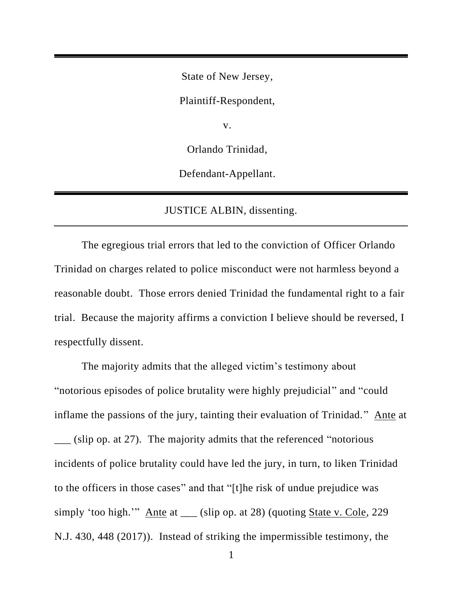State of New Jersey, Plaintiff-Respondent, v. Orlando Trinidad, Defendant-Appellant.

JUSTICE ALBIN, dissenting.

The egregious trial errors that led to the conviction of Officer Orlando Trinidad on charges related to police misconduct were not harmless beyond a reasonable doubt. Those errors denied Trinidad the fundamental right to a fair trial. Because the majority affirms a conviction I believe should be reversed, I respectfully dissent.

The majority admits that the alleged victim's testimony about "notorious episodes of police brutality were highly prejudicial" and "could inflame the passions of the jury, tainting their evaluation of Trinidad." Ante at \_\_\_ (slip op. at 27). The majority admits that the referenced "notorious incidents of police brutality could have led the jury, in turn, to liken Trinidad to the officers in those cases" and that "[t]he risk of undue prejudice was simply 'too high.'" Ante at \_\_\_ (slip op. at 28) (quoting State v. Cole, 229 N.J. 430, 448 (2017)). Instead of striking the impermissible testimony, the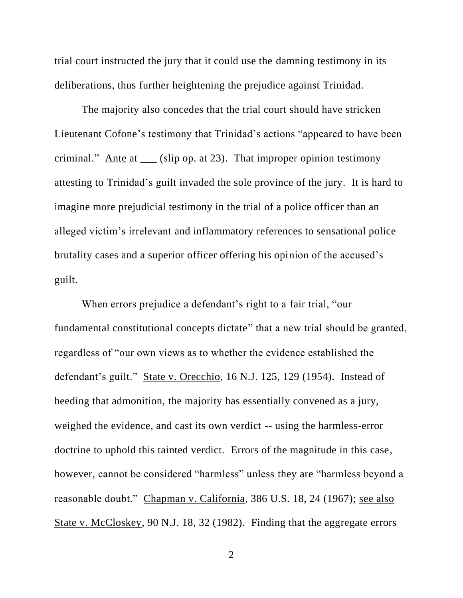trial court instructed the jury that it could use the damning testimony in its deliberations, thus further heightening the prejudice against Trinidad.

The majority also concedes that the trial court should have stricken Lieutenant Cofone's testimony that Trinidad's actions "appeared to have been criminal." Ante at (slip op. at 23). That improper opinion testimony attesting to Trinidad's guilt invaded the sole province of the jury. It is hard to imagine more prejudicial testimony in the trial of a police officer than an alleged victim's irrelevant and inflammatory references to sensational police brutality cases and a superior officer offering his opinion of the accused's guilt.

When errors prejudice a defendant's right to a fair trial, "our fundamental constitutional concepts dictate" that a new trial should be granted, regardless of "our own views as to whether the evidence established the defendant's guilt." State v. Orecchio, 16 N.J. 125, 129 (1954). Instead of heeding that admonition, the majority has essentially convened as a jury, weighed the evidence, and cast its own verdict -- using the harmless-error doctrine to uphold this tainted verdict. Errors of the magnitude in this case, however, cannot be considered "harmless" unless they are "harmless beyond a reasonable doubt." Chapman v. California, 386 U.S. 18, 24 (1967); see also State v. McCloskey, 90 N.J. 18, 32 (1982). Finding that the aggregate errors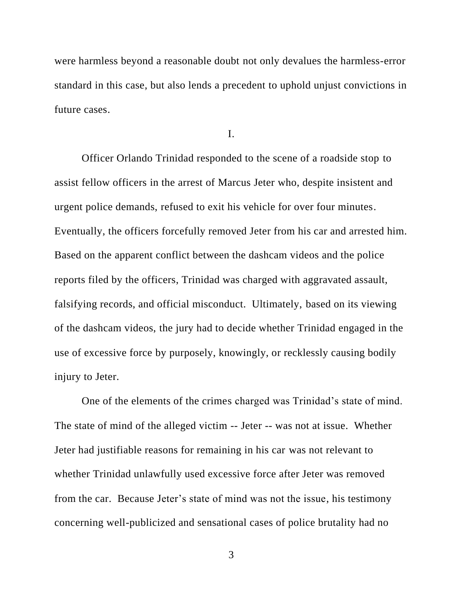were harmless beyond a reasonable doubt not only devalues the harmless-error standard in this case, but also lends a precedent to uphold unjust convictions in future cases.

I.

Officer Orlando Trinidad responded to the scene of a roadside stop to assist fellow officers in the arrest of Marcus Jeter who, despite insistent and urgent police demands, refused to exit his vehicle for over four minutes. Eventually, the officers forcefully removed Jeter from his car and arrested him. Based on the apparent conflict between the dashcam videos and the police reports filed by the officers, Trinidad was charged with aggravated assault, falsifying records, and official misconduct. Ultimately, based on its viewing of the dashcam videos, the jury had to decide whether Trinidad engaged in the use of excessive force by purposely, knowingly, or recklessly causing bodily injury to Jeter.

One of the elements of the crimes charged was Trinidad's state of mind. The state of mind of the alleged victim -- Jeter -- was not at issue. Whether Jeter had justifiable reasons for remaining in his car was not relevant to whether Trinidad unlawfully used excessive force after Jeter was removed from the car. Because Jeter's state of mind was not the issue, his testimony concerning well-publicized and sensational cases of police brutality had no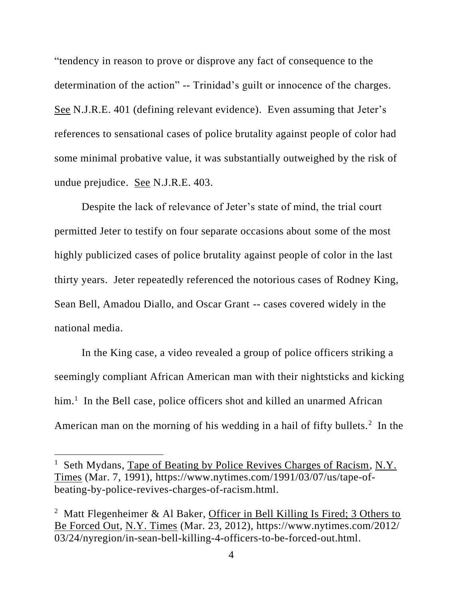"tendency in reason to prove or disprove any fact of consequence to the determination of the action" -- Trinidad's guilt or innocence of the charges. See N.J.R.E. 401 (defining relevant evidence). Even assuming that Jeter's references to sensational cases of police brutality against people of color had some minimal probative value, it was substantially outweighed by the risk of undue prejudice. See N.J.R.E. 403.

Despite the lack of relevance of Jeter's state of mind, the trial court permitted Jeter to testify on four separate occasions about some of the most highly publicized cases of police brutality against people of color in the last thirty years. Jeter repeatedly referenced the notorious cases of Rodney King, Sean Bell, Amadou Diallo, and Oscar Grant -- cases covered widely in the national media.

In the King case, a video revealed a group of police officers striking a seemingly compliant African American man with their nightsticks and kicking him.<sup>1</sup> In the Bell case, police officers shot and killed an unarmed African American man on the morning of his wedding in a hail of fifty bullets.<sup>2</sup> In the

<sup>&</sup>lt;sup>1</sup> Seth Mydans, Tape of Beating by Police Revives Charges of Racism, N.Y. Times (Mar. 7, 1991), https://www.nytimes.com/1991/03/07/us/tape-ofbeating-by-police-revives-charges-of-racism.html.

<sup>&</sup>lt;sup>2</sup> Matt Flegenheimer & Al Baker, Officer in Bell Killing Is Fired; 3 Others to Be Forced Out, N.Y. Times (Mar. 23, 2012), https://www.nytimes.com/2012/ 03/24/nyregion/in-sean-bell-killing-4-officers-to-be-forced-out.html.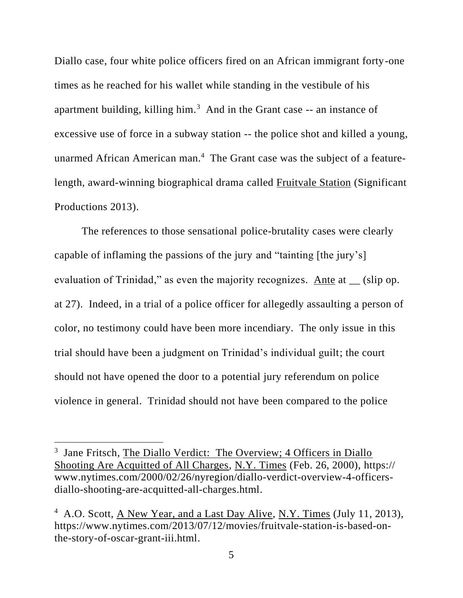Diallo case, four white police officers fired on an African immigrant forty-one times as he reached for his wallet while standing in the vestibule of his apartment building, killing him. $3$  And in the Grant case  $-$  an instance of excessive use of force in a subway station -- the police shot and killed a young, unarmed African American man. 4 The Grant case was the subject of a featurelength, award-winning biographical drama called Fruitvale Station (Significant Productions 2013).

The references to those sensational police-brutality cases were clearly capable of inflaming the passions of the jury and "tainting [the jury's] evaluation of Trinidad," as even the majority recognizes. Ante at \_\_ (slip op. at 27). Indeed, in a trial of a police officer for allegedly assaulting a person of color, no testimony could have been more incendiary. The only issue in this trial should have been a judgment on Trinidad's individual guilt; the court should not have opened the door to a potential jury referendum on police violence in general. Trinidad should not have been compared to the police

<sup>&</sup>lt;sup>3</sup> Jane Fritsch, The Diallo Verdict: The Overview; 4 Officers in Diallo Shooting Are Acquitted of All Charges, N.Y. Times (Feb. 26, 2000), https:// www.nytimes.com/2000/02/26/nyregion/diallo-verdict-overview-4-officersdiallo-shooting-are-acquitted-all-charges.html.

<sup>&</sup>lt;sup>4</sup> A.O. Scott, <u>A New Year, and a Last Day Alive, N.Y. Times</u> (July 11, 2013), https://www.nytimes.com/2013/07/12/movies/fruitvale-station-is-based-onthe-story-of-oscar-grant-iii.html.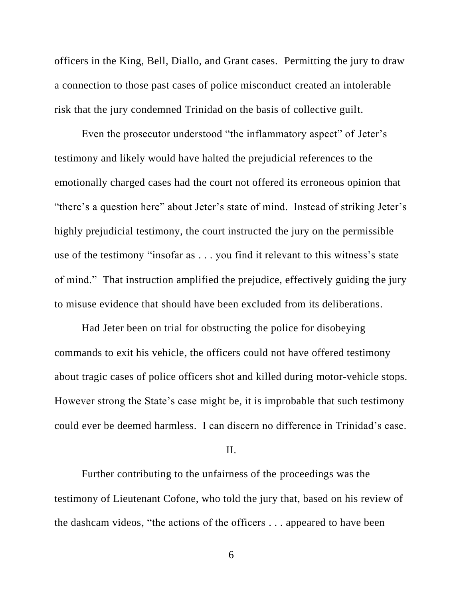officers in the King, Bell, Diallo, and Grant cases. Permitting the jury to draw a connection to those past cases of police misconduct created an intolerable risk that the jury condemned Trinidad on the basis of collective guilt.

Even the prosecutor understood "the inflammatory aspect" of Jeter's testimony and likely would have halted the prejudicial references to the emotionally charged cases had the court not offered its erroneous opinion that "there's a question here" about Jeter's state of mind. Instead of striking Jeter's highly prejudicial testimony, the court instructed the jury on the permissible use of the testimony "insofar as . . . you find it relevant to this witness's state of mind." That instruction amplified the prejudice, effectively guiding the jury to misuse evidence that should have been excluded from its deliberations.

Had Jeter been on trial for obstructing the police for disobeying commands to exit his vehicle, the officers could not have offered testimony about tragic cases of police officers shot and killed during motor-vehicle stops. However strong the State's case might be, it is improbable that such testimony could ever be deemed harmless. I can discern no difference in Trinidad's case.

### II.

Further contributing to the unfairness of the proceedings was the testimony of Lieutenant Cofone, who told the jury that, based on his review of the dashcam videos, "the actions of the officers . . . appeared to have been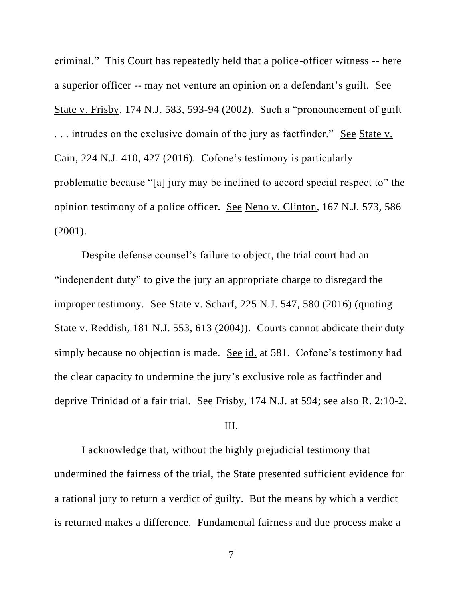criminal." This Court has repeatedly held that a police-officer witness -- here a superior officer -- may not venture an opinion on a defendant's guilt. See State v. Frisby, 174 N.J. 583, 593-94 (2002). Such a "pronouncement of guilt . . . intrudes on the exclusive domain of the jury as factfinder." See State v. Cain, 224 N.J. 410, 427 (2016). Cofone's testimony is particularly problematic because "[a] jury may be inclined to accord special respect to" the opinion testimony of a police officer. See Neno v. Clinton, 167 N.J. 573, 586 (2001).

Despite defense counsel's failure to object, the trial court had an "independent duty" to give the jury an appropriate charge to disregard the improper testimony. See State v. Scharf, 225 N.J. 547, 580 (2016) (quoting State v. Reddish, 181 N.J. 553, 613 (2004)). Courts cannot abdicate their duty simply because no objection is made. See id. at 581. Cofone's testimony had the clear capacity to undermine the jury's exclusive role as factfinder and deprive Trinidad of a fair trial. See Frisby, 174 N.J. at 594; see also R. 2:10-2.

## III.

I acknowledge that, without the highly prejudicial testimony that undermined the fairness of the trial, the State presented sufficient evidence for a rational jury to return a verdict of guilty. But the means by which a verdict is returned makes a difference. Fundamental fairness and due process make a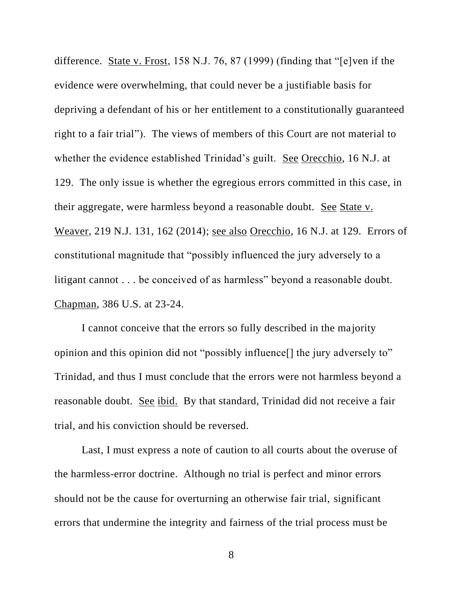difference. State v. Frost, 158 N.J. 76, 87 (1999) (finding that "[e]ven if the evidence were overwhelming, that could never be a justifiable basis for depriving a defendant of his or her entitlement to a constitutionally guaranteed right to a fair trial"). The views of members of this Court are not material to whether the evidence established Trinidad's guilt. See Orecchio, 16 N.J. at 129. The only issue is whether the egregious errors committed in this case, in their aggregate, were harmless beyond a reasonable doubt. See State v. Weaver, 219 N.J. 131, 162 (2014); see also Orecchio, 16 N.J. at 129. Errors of constitutional magnitude that "possibly influenced the jury adversely to a litigant cannot . . . be conceived of as harmless" beyond a reasonable doubt. Chapman, 386 U.S. at 23-24.

I cannot conceive that the errors so fully described in the majority opinion and this opinion did not "possibly influence[] the jury adversely to" Trinidad, and thus I must conclude that the errors were not harmless beyond a reasonable doubt. See ibid. By that standard, Trinidad did not receive a fair trial, and his conviction should be reversed.

Last, I must express a note of caution to all courts about the overuse of the harmless-error doctrine. Although no trial is perfect and minor errors should not be the cause for overturning an otherwise fair trial, significant errors that undermine the integrity and fairness of the trial process must be